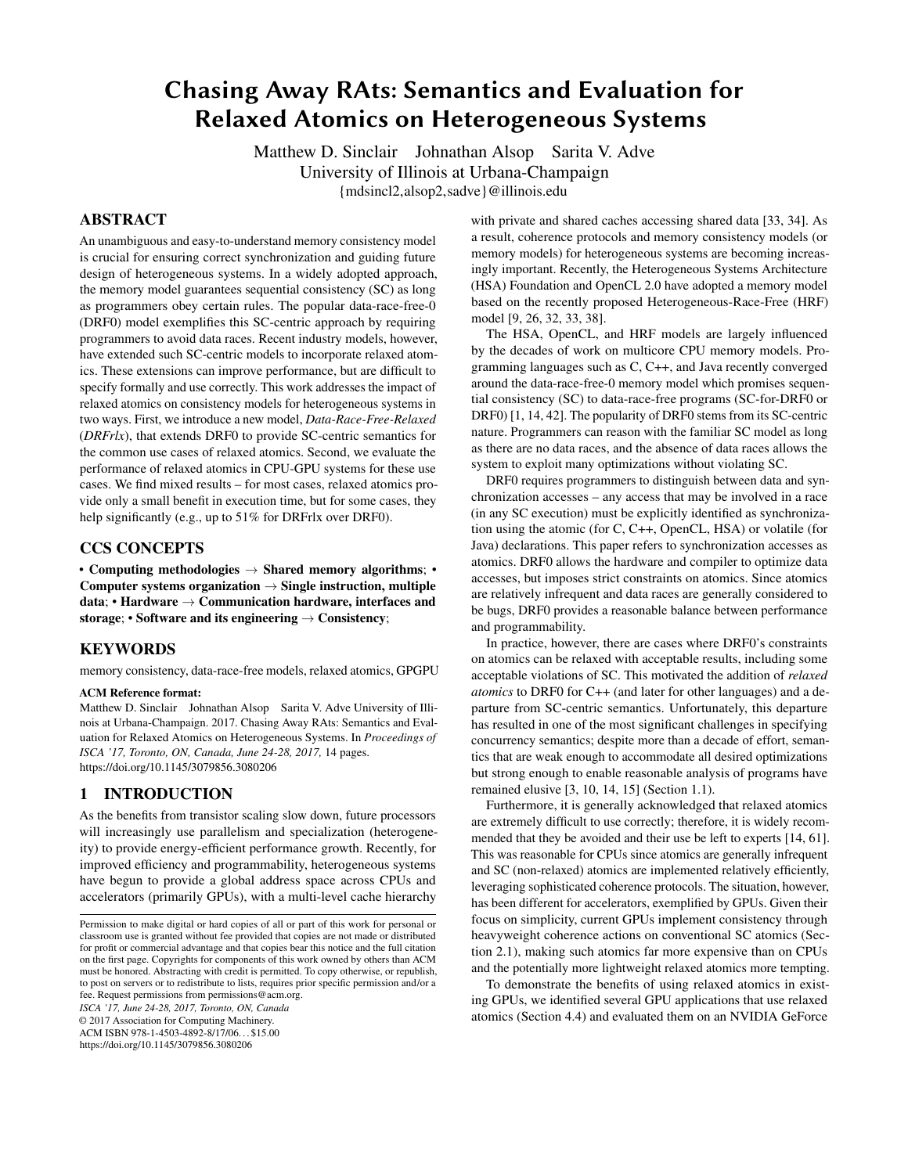# Chasing Away RAts: Semantics and Evaluation for Relaxed Atomics on Heterogeneous Systems

Matthew D. Sinclair Johnathan Alsop Sarita V. Adve University of Illinois at Urbana-Champaign {mdsincl2,alsop2,sadve}@illinois.edu

# ABSTRACT

An unambiguous and easy-to-understand memory consistency model is crucial for ensuring correct synchronization and guiding future design of heterogeneous systems. In a widely adopted approach, the memory model guarantees sequential consistency (SC) as long as programmers obey certain rules. The popular data-race-free-0 (DRF0) model exemplifies this SC-centric approach by requiring programmers to avoid data races. Recent industry models, however, have extended such SC-centric models to incorporate relaxed atomics. These extensions can improve performance, but are difficult to specify formally and use correctly. This work addresses the impact of relaxed atomics on consistency models for heterogeneous systems in two ways. First, we introduce a new model, *Data-Race-Free-Relaxed* (*DRFrlx*), that extends DRF0 to provide SC-centric semantics for the common use cases of relaxed atomics. Second, we evaluate the performance of relaxed atomics in CPU-GPU systems for these use cases. We find mixed results – for most cases, relaxed atomics provide only a small benefit in execution time, but for some cases, they help significantly (e.g., up to 51% for DRFrlx over DRF0).

# CCS CONCEPTS

• Computing methodologies  $\rightarrow$  Shared memory algorithms; • Computer systems organization  $\rightarrow$  Single instruction, multiple data; • Hardware  $\rightarrow$  Communication hardware, interfaces and storage; • Software and its engineering  $\rightarrow$  Consistency;

# KEYWORDS

memory consistency, data-race-free models, relaxed atomics, GPGPU

#### ACM Reference format:

Matthew D. Sinclair Johnathan Alsop Sarita V. Adve University of Illinois at Urbana-Champaign. 2017. Chasing Away RAts: Semantics and Evaluation for Relaxed Atomics on Heterogeneous Systems. In *Proceedings of ISCA '17, Toronto, ON, Canada, June 24-28, 2017,* [14](#page-13-0) pages. <https://doi.org/10.1145/3079856.3080206>

# 1 INTRODUCTION

As the benefits from transistor scaling slow down, future processors will increasingly use parallelism and specialization (heterogeneity) to provide energy-efficient performance growth. Recently, for improved efficiency and programmability, heterogeneous systems have begun to provide a global address space across CPUs and accelerators (primarily GPUs), with a multi-level cache hierarchy

*ISCA '17, June 24-28, 2017, Toronto, ON, Canada*

© 2017 Association for Computing Machinery.

ACM ISBN 978-1-4503-4892-8/17/06. . . \$15.00

<https://doi.org/10.1145/3079856.3080206>

with private and shared caches accessing shared data [\[33,](#page-13-1) [34\]](#page-13-2). As a result, coherence protocols and memory consistency models (or memory models) for heterogeneous systems are becoming increasingly important. Recently, the Heterogeneous Systems Architecture (HSA) Foundation and OpenCL 2.0 have adopted a memory model based on the recently proposed Heterogeneous-Race-Free (HRF) model [\[9,](#page-12-0) [26,](#page-13-3) [32,](#page-13-4) [33,](#page-13-1) [38\]](#page-13-5).

The HSA, OpenCL, and HRF models are largely influenced by the decades of work on multicore CPU memory models. Programming languages such as C, C++, and Java recently converged around the data-race-free-0 memory model which promises sequential consistency (SC) to data-race-free programs (SC-for-DRF0 or DRF0) [\[1,](#page-12-1) [14,](#page-12-2) [42\]](#page-13-6). The popularity of DRF0 stems from its SC-centric nature. Programmers can reason with the familiar SC model as long as there are no data races, and the absence of data races allows the system to exploit many optimizations without violating SC.

DRF0 requires programmers to distinguish between data and synchronization accesses – any access that may be involved in a race (in any SC execution) must be explicitly identified as synchronization using the atomic (for C, C++, OpenCL, HSA) or volatile (for Java) declarations. This paper refers to synchronization accesses as atomics. DRF0 allows the hardware and compiler to optimize data accesses, but imposes strict constraints on atomics. Since atomics are relatively infrequent and data races are generally considered to be bugs, DRF0 provides a reasonable balance between performance and programmability.

In practice, however, there are cases where DRF0's constraints on atomics can be relaxed with acceptable results, including some acceptable violations of SC. This motivated the addition of *relaxed atomics* to DRF0 for C++ (and later for other languages) and a departure from SC-centric semantics. Unfortunately, this departure has resulted in one of the most significant challenges in specifying concurrency semantics; despite more than a decade of effort, semantics that are weak enough to accommodate all desired optimizations but strong enough to enable reasonable analysis of programs have remained elusive [\[3,](#page-12-3) [10,](#page-12-4) [14,](#page-12-2) [15\]](#page-12-5) (Section [1.1\)](#page-1-0).

Furthermore, it is generally acknowledged that relaxed atomics are extremely difficult to use correctly; therefore, it is widely recommended that they be avoided and their use be left to experts [\[14,](#page-12-2) [61\]](#page-13-7). This was reasonable for CPUs since atomics are generally infrequent and SC (non-relaxed) atomics are implemented relatively efficiently, leveraging sophisticated coherence protocols. The situation, however, has been different for accelerators, exemplified by GPUs. Given their focus on simplicity, current GPUs implement consistency through heavyweight coherence actions on conventional SC atomics (Section [2.1\)](#page-2-0), making such atomics far more expensive than on CPUs and the potentially more lightweight relaxed atomics more tempting.

To demonstrate the benefits of using relaxed atomics in existing GPUs, we identified several GPU applications that use relaxed atomics (Section [4.4\)](#page-9-0) and evaluated them on an NVIDIA GeForce

Permission to make digital or hard copies of all or part of this work for personal or classroom use is granted without fee provided that copies are not made or distributed for profit or commercial advantage and that copies bear this notice and the full citation on the first page. Copyrights for components of this work owned by others than ACM must be honored. Abstracting with credit is permitted. To copy otherwise, or republish, to post on servers or to redistribute to lists, requires prior specific permission and/or a fee. Request permissions from permissions@acm.org.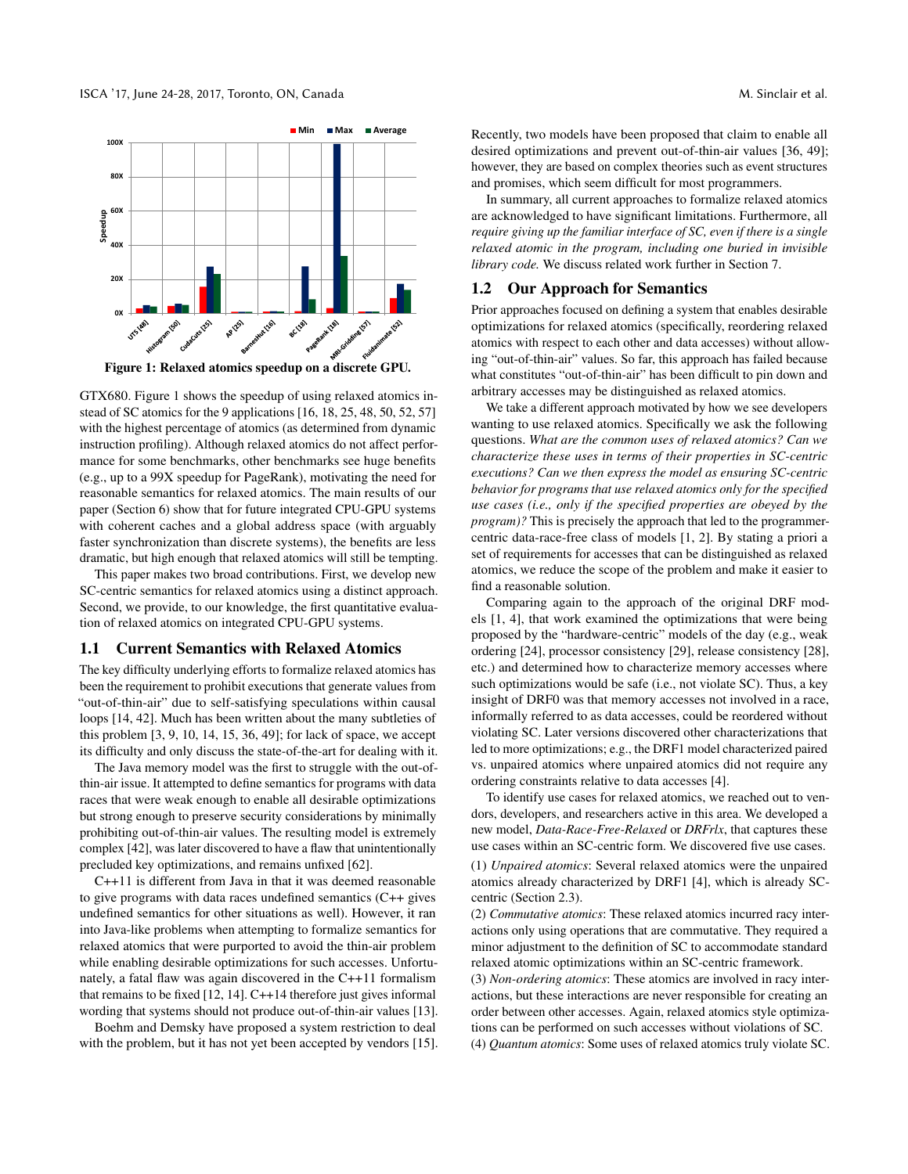<span id="page-1-1"></span>

Figure 1: Relaxed atomics speedup on a discrete GPU.

GTX680. Figure [1](#page-1-1) shows the speedup of using relaxed atomics instead of SC atomics for the 9 applications [\[16,](#page-13-8) [18,](#page-13-9) [25,](#page-13-10) [48,](#page-13-11) [50,](#page-13-12) [52,](#page-13-13) [57\]](#page-13-14) with the highest percentage of atomics (as determined from dynamic instruction profiling). Although relaxed atomics do not affect performance for some benchmarks, other benchmarks see huge benefits (e.g., up to a 99X speedup for PageRank), motivating the need for reasonable semantics for relaxed atomics. The main results of our paper (Section [6\)](#page-10-0) show that for future integrated CPU-GPU systems with coherent caches and a global address space (with arguably faster synchronization than discrete systems), the benefits are less dramatic, but high enough that relaxed atomics will still be tempting.

This paper makes two broad contributions. First, we develop new SC-centric semantics for relaxed atomics using a distinct approach. Second, we provide, to our knowledge, the first quantitative evaluation of relaxed atomics on integrated CPU-GPU systems.

#### <span id="page-1-0"></span>1.1 Current Semantics with Relaxed Atomics

The key difficulty underlying efforts to formalize relaxed atomics has been the requirement to prohibit executions that generate values from "out-of-thin-air" due to self-satisfying speculations within causal loops [\[14,](#page-12-2) [42\]](#page-13-6). Much has been written about the many subtleties of this problem [\[3,](#page-12-3) [9,](#page-12-0) [10,](#page-12-4) [14,](#page-12-2) [15,](#page-12-5) [36,](#page-13-15) [49\]](#page-13-16); for lack of space, we accept its difficulty and only discuss the state-of-the-art for dealing with it.

The Java memory model was the first to struggle with the out-ofthin-air issue. It attempted to define semantics for programs with data races that were weak enough to enable all desirable optimizations but strong enough to preserve security considerations by minimally prohibiting out-of-thin-air values. The resulting model is extremely complex [\[42\]](#page-13-6), was later discovered to have a flaw that unintentionally precluded key optimizations, and remains unfixed [\[62\]](#page-13-17).

C++11 is different from Java in that it was deemed reasonable to give programs with data races undefined semantics (C++ gives undefined semantics for other situations as well). However, it ran into Java-like problems when attempting to formalize semantics for relaxed atomics that were purported to avoid the thin-air problem while enabling desirable optimizations for such accesses. Unfortunately, a fatal flaw was again discovered in the C++11 formalism that remains to be fixed [\[12,](#page-12-6) [14\]](#page-12-2). C++14 therefore just gives informal wording that systems should not produce out-of-thin-air values [\[13\]](#page-12-7).

Boehm and Demsky have proposed a system restriction to deal with the problem, but it has not yet been accepted by vendors [\[15\]](#page-12-5). Recently, two models have been proposed that claim to enable all desired optimizations and prevent out-of-thin-air values [\[36,](#page-13-15) [49\]](#page-13-16); however, they are based on complex theories such as event structures and promises, which seem difficult for most programmers.

In summary, all current approaches to formalize relaxed atomics are acknowledged to have significant limitations. Furthermore, all *require giving up the familiar interface of SC, even if there is a single relaxed atomic in the program, including one buried in invisible library code.* We discuss related work further in Section [7.](#page-12-8)

### 1.2 Our Approach for Semantics

Prior approaches focused on defining a system that enables desirable optimizations for relaxed atomics (specifically, reordering relaxed atomics with respect to each other and data accesses) without allowing "out-of-thin-air" values. So far, this approach has failed because what constitutes "out-of-thin-air" has been difficult to pin down and arbitrary accesses may be distinguished as relaxed atomics.

We take a different approach motivated by how we see developers wanting to use relaxed atomics. Specifically we ask the following questions. *What are the common uses of relaxed atomics? Can we characterize these uses in terms of their properties in SC-centric executions? Can we then express the model as ensuring SC-centric behavior for programs that use relaxed atomics only for the specified use cases (i.e., only if the specified properties are obeyed by the program)?* This is precisely the approach that led to the programmercentric data-race-free class of models [\[1,](#page-12-1) [2\]](#page-12-9). By stating a priori a set of requirements for accesses that can be distinguished as relaxed atomics, we reduce the scope of the problem and make it easier to find a reasonable solution.

Comparing again to the approach of the original DRF models [\[1,](#page-12-1) [4\]](#page-12-10), that work examined the optimizations that were being proposed by the "hardware-centric" models of the day (e.g., weak ordering [\[24\]](#page-13-18), processor consistency [\[29\]](#page-13-19), release consistency [\[28\]](#page-13-20), etc.) and determined how to characterize memory accesses where such optimizations would be safe (i.e., not violate SC). Thus, a key insight of DRF0 was that memory accesses not involved in a race, informally referred to as data accesses, could be reordered without violating SC. Later versions discovered other characterizations that led to more optimizations; e.g., the DRF1 model characterized paired vs. unpaired atomics where unpaired atomics did not require any ordering constraints relative to data accesses [\[4\]](#page-12-10).

To identify use cases for relaxed atomics, we reached out to vendors, developers, and researchers active in this area. We developed a new model, *Data-Race-Free-Relaxed* or *DRFrlx*, that captures these use cases within an SC-centric form. We discovered five use cases. (1) *Unpaired atomics*: Several relaxed atomics were the unpaired atomics already characterized by DRF1 [\[4\]](#page-12-10), which is already SC-

(2) *Commutative atomics*: These relaxed atomics incurred racy interactions only using operations that are commutative. They required a minor adjustment to the definition of SC to accommodate standard relaxed atomic optimizations within an SC-centric framework.

centric (Section [2.3\)](#page-2-1).

(3) *Non-ordering atomics*: These atomics are involved in racy interactions, but these interactions are never responsible for creating an order between other accesses. Again, relaxed atomics style optimizations can be performed on such accesses without violations of SC. (4) *Quantum atomics*: Some uses of relaxed atomics truly violate SC.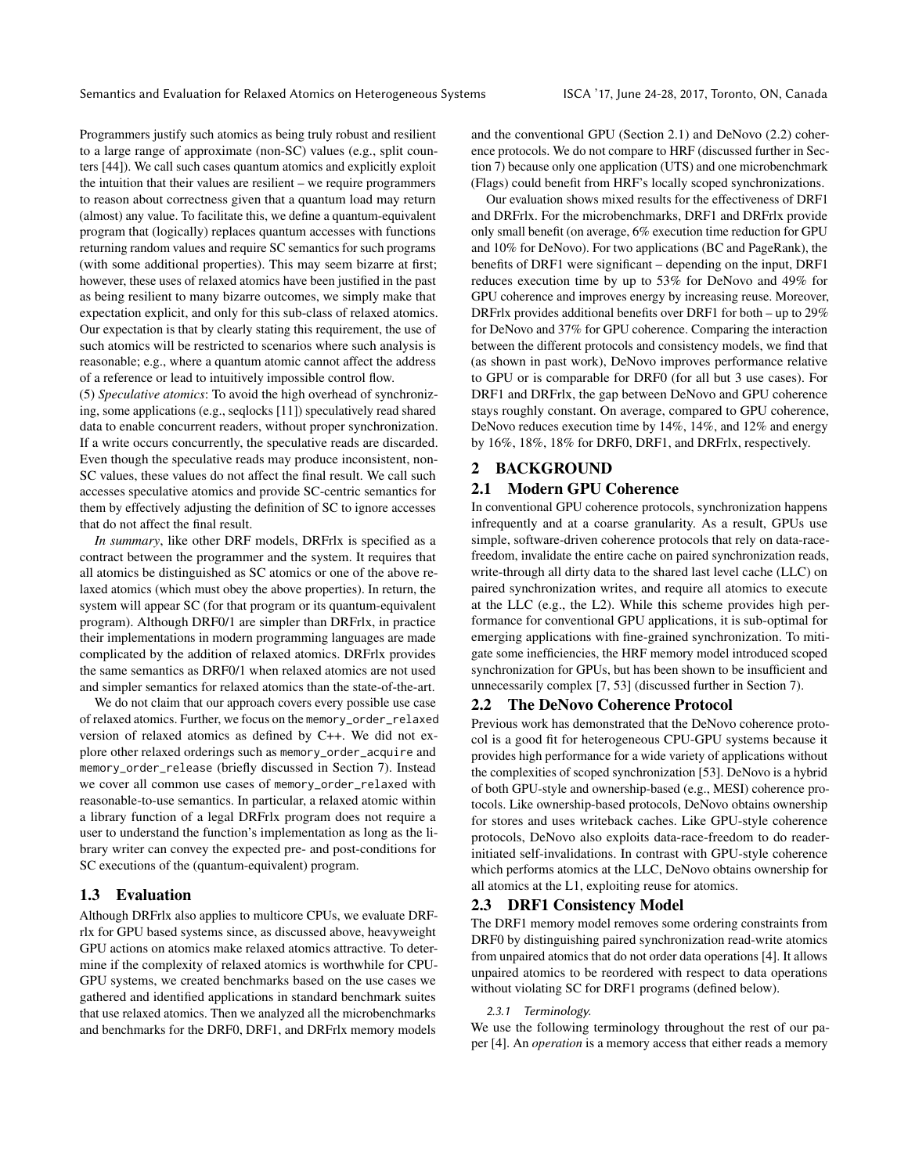Programmers justify such atomics as being truly robust and resilient to a large range of approximate (non-SC) values (e.g., split counters [\[44\]](#page-13-21)). We call such cases quantum atomics and explicitly exploit the intuition that their values are resilient – we require programmers to reason about correctness given that a quantum load may return (almost) any value. To facilitate this, we define a quantum-equivalent program that (logically) replaces quantum accesses with functions returning random values and require SC semantics for such programs (with some additional properties). This may seem bizarre at first; however, these uses of relaxed atomics have been justified in the past as being resilient to many bizarre outcomes, we simply make that expectation explicit, and only for this sub-class of relaxed atomics. Our expectation is that by clearly stating this requirement, the use of such atomics will be restricted to scenarios where such analysis is reasonable; e.g., where a quantum atomic cannot affect the address of a reference or lead to intuitively impossible control flow.

(5) *Speculative atomics*: To avoid the high overhead of synchronizing, some applications (e.g., seqlocks [\[11\]](#page-12-11)) speculatively read shared data to enable concurrent readers, without proper synchronization. If a write occurs concurrently, the speculative reads are discarded. Even though the speculative reads may produce inconsistent, non-SC values, these values do not affect the final result. We call such accesses speculative atomics and provide SC-centric semantics for them by effectively adjusting the definition of SC to ignore accesses that do not affect the final result.

*In summary*, like other DRF models, DRFrlx is specified as a contract between the programmer and the system. It requires that all atomics be distinguished as SC atomics or one of the above relaxed atomics (which must obey the above properties). In return, the system will appear SC (for that program or its quantum-equivalent program). Although DRF0/1 are simpler than DRFrlx, in practice their implementations in modern programming languages are made complicated by the addition of relaxed atomics. DRFrlx provides the same semantics as DRF0/1 when relaxed atomics are not used and simpler semantics for relaxed atomics than the state-of-the-art.

We do not claim that our approach covers every possible use case of relaxed atomics. Further, we focus on the memory\_order\_relaxed version of relaxed atomics as defined by C++. We did not explore other relaxed orderings such as memory\_order\_acquire and memory\_order\_release (briefly discussed in Section [7\)](#page-12-8). Instead we cover all common use cases of memory\_order\_relaxed with reasonable-to-use semantics. In particular, a relaxed atomic within a library function of a legal DRFrlx program does not require a user to understand the function's implementation as long as the library writer can convey the expected pre- and post-conditions for SC executions of the (quantum-equivalent) program.

### 1.3 Evaluation

Although DRFrlx also applies to multicore CPUs, we evaluate DRFrlx for GPU based systems since, as discussed above, heavyweight GPU actions on atomics make relaxed atomics attractive. To determine if the complexity of relaxed atomics is worthwhile for CPU-GPU systems, we created benchmarks based on the use cases we gathered and identified applications in standard benchmark suites that use relaxed atomics. Then we analyzed all the microbenchmarks and benchmarks for the DRF0, DRF1, and DRFrlx memory models

and the conventional GPU (Section [2.1\)](#page-2-0) and DeNovo [\(2.2\)](#page-2-2) coherence protocols. We do not compare to HRF (discussed further in Section [7\)](#page-12-8) because only one application (UTS) and one microbenchmark (Flags) could benefit from HRF's locally scoped synchronizations.

Our evaluation shows mixed results for the effectiveness of DRF1 and DRFrlx. For the microbenchmarks, DRF1 and DRFrlx provide only small benefit (on average, 6% execution time reduction for GPU and 10% for DeNovo). For two applications (BC and PageRank), the benefits of DRF1 were significant – depending on the input, DRF1 reduces execution time by up to 53% for DeNovo and 49% for GPU coherence and improves energy by increasing reuse. Moreover, DRFrlx provides additional benefits over DRF1 for both – up to 29% for DeNovo and 37% for GPU coherence. Comparing the interaction between the different protocols and consistency models, we find that (as shown in past work), DeNovo improves performance relative to GPU or is comparable for DRF0 (for all but 3 use cases). For DRF1 and DRFrlx, the gap between DeNovo and GPU coherence stays roughly constant. On average, compared to GPU coherence, DeNovo reduces execution time by 14%, 14%, and 12% and energy by 16%, 18%, 18% for DRF0, DRF1, and DRFrlx, respectively.

#### 2 BACKGROUND

### <span id="page-2-0"></span>2.1 Modern GPU Coherence

In conventional GPU coherence protocols, synchronization happens infrequently and at a coarse granularity. As a result, GPUs use simple, software-driven coherence protocols that rely on data-racefreedom, invalidate the entire cache on paired synchronization reads, write-through all dirty data to the shared last level cache (LLC) on paired synchronization writes, and require all atomics to execute at the LLC (e.g., the L2). While this scheme provides high performance for conventional GPU applications, it is sub-optimal for emerging applications with fine-grained synchronization. To mitigate some inefficiencies, the HRF memory model introduced scoped synchronization for GPUs, but has been shown to be insufficient and unnecessarily complex [\[7,](#page-12-12) [53\]](#page-13-22) (discussed further in Section [7\)](#page-12-8).

# <span id="page-2-2"></span>2.2 The DeNovo Coherence Protocol

Previous work has demonstrated that the DeNovo coherence protocol is a good fit for heterogeneous CPU-GPU systems because it provides high performance for a wide variety of applications without the complexities of scoped synchronization [\[53\]](#page-13-22). DeNovo is a hybrid of both GPU-style and ownership-based (e.g., MESI) coherence protocols. Like ownership-based protocols, DeNovo obtains ownership for stores and uses writeback caches. Like GPU-style coherence protocols, DeNovo also exploits data-race-freedom to do readerinitiated self-invalidations. In contrast with GPU-style coherence which performs atomics at the LLC, DeNovo obtains ownership for all atomics at the L1, exploiting reuse for atomics.

#### <span id="page-2-1"></span>2.3 DRF1 Consistency Model

The DRF1 memory model removes some ordering constraints from DRF0 by distinguishing paired synchronization read-write atomics from unpaired atomics that do not order data operations [\[4\]](#page-12-10). It allows unpaired atomics to be reordered with respect to data operations without violating SC for DRF1 programs (defined below).

#### 2.3.1 Terminology.

We use the following terminology throughout the rest of our paper [\[4\]](#page-12-10). An *operation* is a memory access that either reads a memory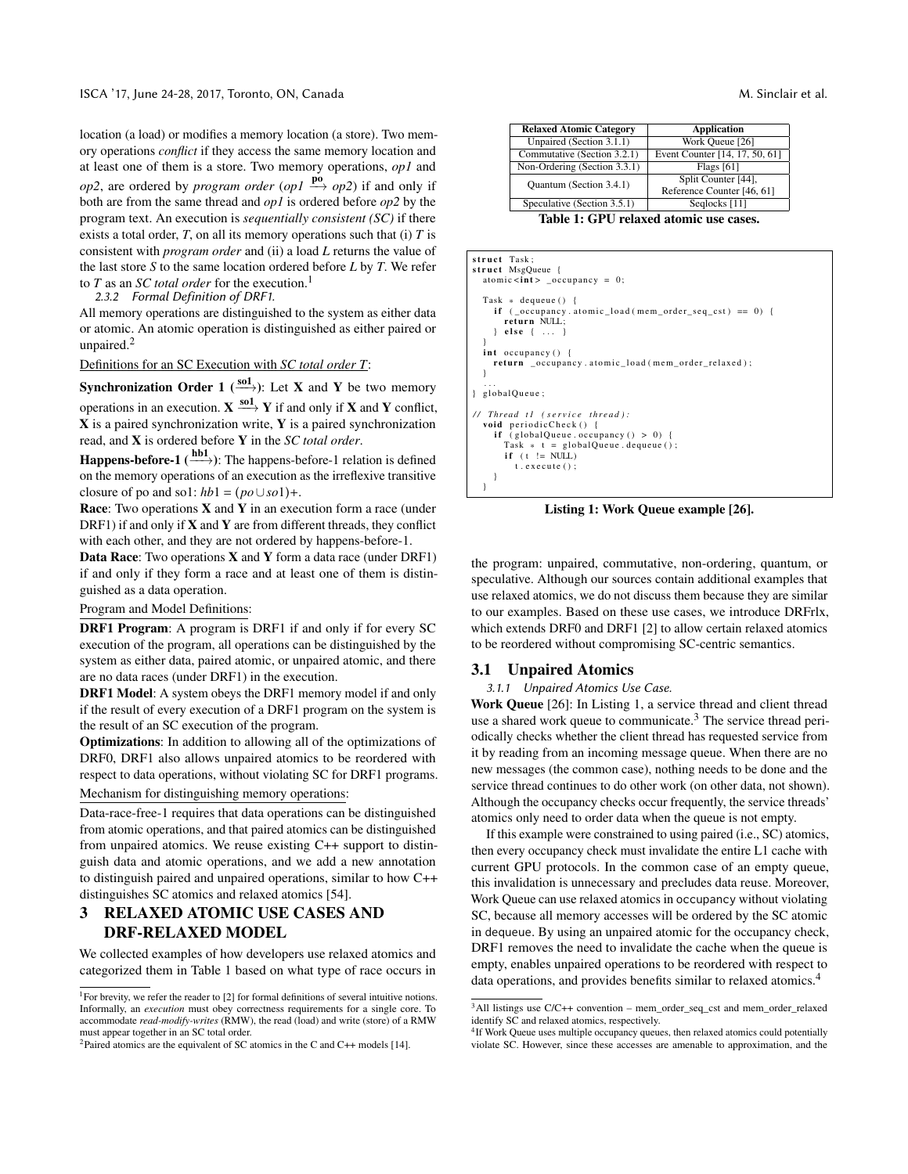location (a load) or modifies a memory location (a store). Two memory operations *conflict* if they access the same memory location and at least one of them is a store. Two memory operations, *op1* and *op2*, are ordered by *program order* (*op1*  $\stackrel{\mathbf{po}}{\longrightarrow}$  *op2*) if and only if both are from the same thread and *op1* is ordered before *op2* by the program text. An execution is *sequentially consistent (SC)* if there exists a total order, *T*, on all its memory operations such that (i) *T* is consistent with *program order* and (ii) a load *L* returns the value of the last store *S* to the same location ordered before *L* by *T*. We refer to *T* as an *SC total order* for the execution.<sup>[1](#page-3-0)</sup>

2.3.2 Formal Definition of DRF1.

All memory operations are distinguished to the system as either data or atomic. An atomic operation is distinguished as either paired or unpaired. $<sup>2</sup>$  $<sup>2</sup>$  $<sup>2</sup>$ </sup>

Definitions for an SC Execution with *SC total order T*:

**Synchronization Order 1** ( $\frac{\text{sol}}{\longrightarrow}$ ): Let **X** and **Y** be two memory operations in an execution.  $X \xrightarrow{sol} Y$  if and only if X and Y conflict,  $X$  is a paired synchronization write,  $Y$  is a paired synchronization read, and X is ordered before Y in the *SC total order*.

**Happens-before-1** ( $\stackrel{\text{hb1}}{\longrightarrow}$ ): The happens-before-1 relation is defined on the memory operations of an execution as the irreflexive transitive closure of po and so1:  $hb1 = (po \cup so1) +$ .

Race: Two operations **X** and **Y** in an execution form a race (under DRF1) if and only if  $X$  and  $Y$  are from different threads, they conflict with each other, and they are not ordered by happens-before-1.

**Data Race:** Two operations  $X$  and  $Y$  form a data race (under DRF1) if and only if they form a race and at least one of them is distinguished as a data operation.

Program and Model Definitions:

DRF1 Program: A program is DRF1 if and only if for every SC execution of the program, all operations can be distinguished by the system as either data, paired atomic, or unpaired atomic, and there are no data races (under DRF1) in the execution.

DRF1 Model: A system obeys the DRF1 memory model if and only if the result of every execution of a DRF1 program on the system is the result of an SC execution of the program.

Optimizations: In addition to allowing all of the optimizations of DRF0, DRF1 also allows unpaired atomics to be reordered with respect to data operations, without violating SC for DRF1 programs.

Mechanism for distinguishing memory operations:

Data-race-free-1 requires that data operations can be distinguished from atomic operations, and that paired atomics can be distinguished from unpaired atomics. We reuse existing C++ support to distinguish data and atomic operations, and we add a new annotation to distinguish paired and unpaired operations, similar to how C++ distinguishes SC atomics and relaxed atomics [\[54\]](#page-13-23).

# <span id="page-3-7"></span>3 RELAXED ATOMIC USE CASES AND DRF-RELAXED MODEL

We collected examples of how developers use relaxed atomics and categorized them in Table [1](#page-3-2) based on what type of race occurs in

<span id="page-3-2"></span>

| <b>Relaxed Atomic Category</b> | <b>Application</b>             |  |  |  |
|--------------------------------|--------------------------------|--|--|--|
|                                |                                |  |  |  |
| Unpaired (Section 3.1.1)       | Work Queue [26]                |  |  |  |
| Commutative (Section 3.2.1)    | Event Counter [14, 17, 50, 61] |  |  |  |
| Non-Ordering (Section 3.3.1)   | Flags $[61]$                   |  |  |  |
| Quantum (Section 3.4.1)        | Split Counter [44],            |  |  |  |
|                                | Reference Counter [46, 61]     |  |  |  |
| Speculative (Section 3.5.1)    | Seglocks [11]                  |  |  |  |
| . .<br>-- - -                  |                                |  |  |  |

Table 1: GPU relaxed atomic use cases.

```
struct Task;
struct MsgQueue {
  atomic \langle \text{int} \rangle _occupancy = 0;
  Task * dequeue ()
    if ( occupancy atomic load (mem order seq cst) == 0) {
       return NULL;
      e l s e \{ \ldots}
  int occupancy () {
    return _occupancy . atomic_load (mem_order_relaxed);
  }
   . . .
  globalQueue;
// Thread tl (service thread):
  void periodicCheck() {<br>if (globalQueue.occupancy() > 0) {
       Task * t = globalQueue. dequeue ();
       if (t) = NULLt. execute();
    }
  }
```
Listing 1: Work Queue example [\[26\]](#page-13-3).

the program: unpaired, commutative, non-ordering, quantum, or speculative. Although our sources contain additional examples that use relaxed atomics, we do not discuss them because they are similar to our examples. Based on these use cases, we introduce DRFrlx, which extends DRF0 and DRF1 [\[2\]](#page-12-9) to allow certain relaxed atomics to be reordered without compromising SC-centric semantics.

#### 3.1 Unpaired Atomics

<span id="page-3-3"></span>3.1.1 Unpaired Atomics Use Case.

Work Queue [\[26\]](#page-13-3): In Listing [1,](#page-3-4) a service thread and client thread use a shared work queue to communicate.<sup>[3](#page-3-5)</sup> The service thread periodically checks whether the client thread has requested service from it by reading from an incoming message queue. When there are no new messages (the common case), nothing needs to be done and the service thread continues to do other work (on other data, not shown). Although the occupancy checks occur frequently, the service threads' atomics only need to order data when the queue is not empty.

If this example were constrained to using paired (i.e., SC) atomics, then every occupancy check must invalidate the entire L1 cache with current GPU protocols. In the common case of an empty queue, this invalidation is unnecessary and precludes data reuse. Moreover, Work Queue can use relaxed atomics in occupancy without violating SC, because all memory accesses will be ordered by the SC atomic in dequeue. By using an unpaired atomic for the occupancy check, DRF1 removes the need to invalidate the cache when the queue is empty, enables unpaired operations to be reordered with respect to data operations, and provides benefits similar to relaxed atomics.<sup>[4](#page-3-6)</sup>

<span id="page-3-0"></span><sup>&</sup>lt;sup>1</sup>For brevity, we refer the reader to [\[2\]](#page-12-9) for formal definitions of several intuitive notions. Informally, an *execution* must obey correctness requirements for a single core. To accommodate *read-modify-writes* (RMW), the read (load) and write (store) of a RMW must appear together in an SC total order.

<span id="page-3-1"></span><sup>&</sup>lt;sup>2</sup>Paired atomics are the equivalent of SC atomics in the C and C++ models [\[14\]](#page-12-2).

<span id="page-3-5"></span><sup>3</sup>All listings use C/C++ convention – mem\_order\_seq\_cst and mem\_order\_relaxed identify SC and relaxed atomics, respectively.

<span id="page-3-6"></span><sup>&</sup>lt;sup>4</sup>If Work Queue uses multiple occupancy queues, then relaxed atomics could potentially violate SC. However, since these accesses are amenable to approximation, and the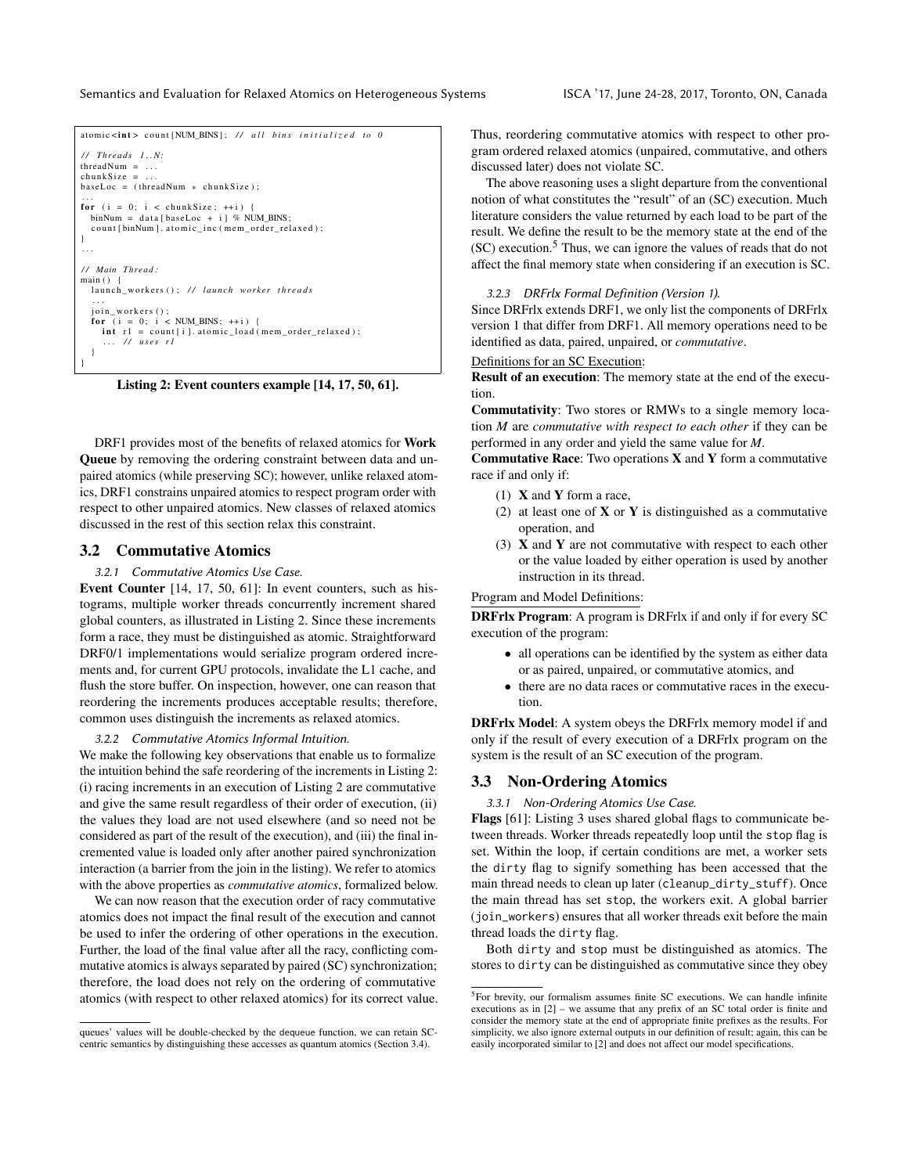<span id="page-4-2"></span>

Listing 2: Event counters example [\[14,](#page-12-2) [17,](#page-13-24) [50,](#page-13-12) [61\]](#page-13-7).

DRF1 provides most of the benefits of relaxed atomics for Work Queue by removing the ordering constraint between data and unpaired atomics (while preserving SC); however, unlike relaxed atomics, DRF1 constrains unpaired atomics to respect program order with respect to other unpaired atomics. New classes of relaxed atomics discussed in the rest of this section relax this constraint.

### <span id="page-4-0"></span>3.2 Commutative Atomics

### 3.2.1 Commutative Atomics Use Case.

Event Counter [\[14,](#page-12-2) [17,](#page-13-24) [50,](#page-13-12) [61\]](#page-13-7): In event counters, such as histograms, multiple worker threads concurrently increment shared global counters, as illustrated in Listing [2.](#page-4-2) Since these increments form a race, they must be distinguished as atomic. Straightforward DRF0/1 implementations would serialize program ordered increments and, for current GPU protocols, invalidate the L1 cache, and flush the store buffer. On inspection, however, one can reason that reordering the increments produces acceptable results; therefore, common uses distinguish the increments as relaxed atomics.

3.2.2 Commutative Atomics Informal Intuition.

We make the following key observations that enable us to formalize the intuition behind the safe reordering of the increments in Listing [2:](#page-4-2) (i) racing increments in an execution of Listing [2](#page-4-2) are commutative and give the same result regardless of their order of execution, (ii) the values they load are not used elsewhere (and so need not be considered as part of the result of the execution), and (iii) the final incremented value is loaded only after another paired synchronization interaction (a barrier from the join in the listing). We refer to atomics with the above properties as *commutative atomics*, formalized below.

We can now reason that the execution order of racy commutative atomics does not impact the final result of the execution and cannot be used to infer the ordering of other operations in the execution. Further, the load of the final value after all the racy, conflicting commutative atomics is always separated by paired (SC) synchronization; therefore, the load does not rely on the ordering of commutative atomics (with respect to other relaxed atomics) for its correct value.

Thus, reordering commutative atomics with respect to other program ordered relaxed atomics (unpaired, commutative, and others discussed later) does not violate SC.

The above reasoning uses a slight departure from the conventional notion of what constitutes the "result" of an (SC) execution. Much literature considers the value returned by each load to be part of the result. We define the result to be the memory state at the end of the (SC) execution.[5](#page-4-3) Thus, we can ignore the values of reads that do not affect the final memory state when considering if an execution is SC.

#### <span id="page-4-4"></span>3.2.3 DRFrlx Formal Definition (Version 1).

Since DRFrlx extends DRF1, we only list the components of DRFrlx version 1 that differ from DRF1. All memory operations need to be identified as data, paired, unpaired, or *commutative*.

Definitions for an SC Execution:

Result of an execution: The memory state at the end of the execution.

Commutativity: Two stores or RMWs to a single memory location *M* are *commutative with respect to each other* if they can be performed in any order and yield the same value for *M*.

Commutative Race: Two operations  $X$  and  $Y$  form a commutative race if and only if:

- (1)  $X$  and  $Y$  form a race,
- (2) at least one of  $X$  or  $Y$  is distinguished as a commutative operation, and
- (3)  $X$  and  $Y$  are not commutative with respect to each other or the value loaded by either operation is used by another instruction in its thread.

Program and Model Definitions:

DRFrlx Program: A program is DRFrlx if and only if for every SC execution of the program:

- all operations can be identified by the system as either data or as paired, unpaired, or commutative atomics, and
- there are no data races or commutative races in the execution.

DRFrlx Model: A system obeys the DRFrlx memory model if and only if the result of every execution of a DRFrlx program on the system is the result of an SC execution of the program.

#### 3.3 Non-Ordering Atomics

<span id="page-4-1"></span>3.3.1 Non-Ordering Atomics Use Case.

Flags [\[61\]](#page-13-7): Listing [3](#page-5-2) uses shared global flags to communicate between threads. Worker threads repeatedly loop until the stop flag is set. Within the loop, if certain conditions are met, a worker sets the dirty flag to signify something has been accessed that the main thread needs to clean up later (cleanup\_dirty\_stuff). Once the main thread has set stop, the workers exit. A global barrier (join\_workers) ensures that all worker threads exit before the main thread loads the dirty flag.

Both dirty and stop must be distinguished as atomics. The stores to dirty can be distinguished as commutative since they obey

queues' values will be double-checked by the dequeue function, we can retain SCcentric semantics by distinguishing these accesses as quantum atomics (Section [3.4\)](#page-5-1).

<span id="page-4-3"></span><sup>5</sup>For brevity, our formalism assumes finite SC executions. We can handle infinite executions as in [\[2\]](#page-12-9) – we assume that any prefix of an SC total order is finite and consider the memory state at the end of appropriate finite prefixes as the results. For simplicity, we also ignore external outputs in our definition of result; again, this can be easily incorporated similar to [\[2\]](#page-12-9) and does not affect our model specifications.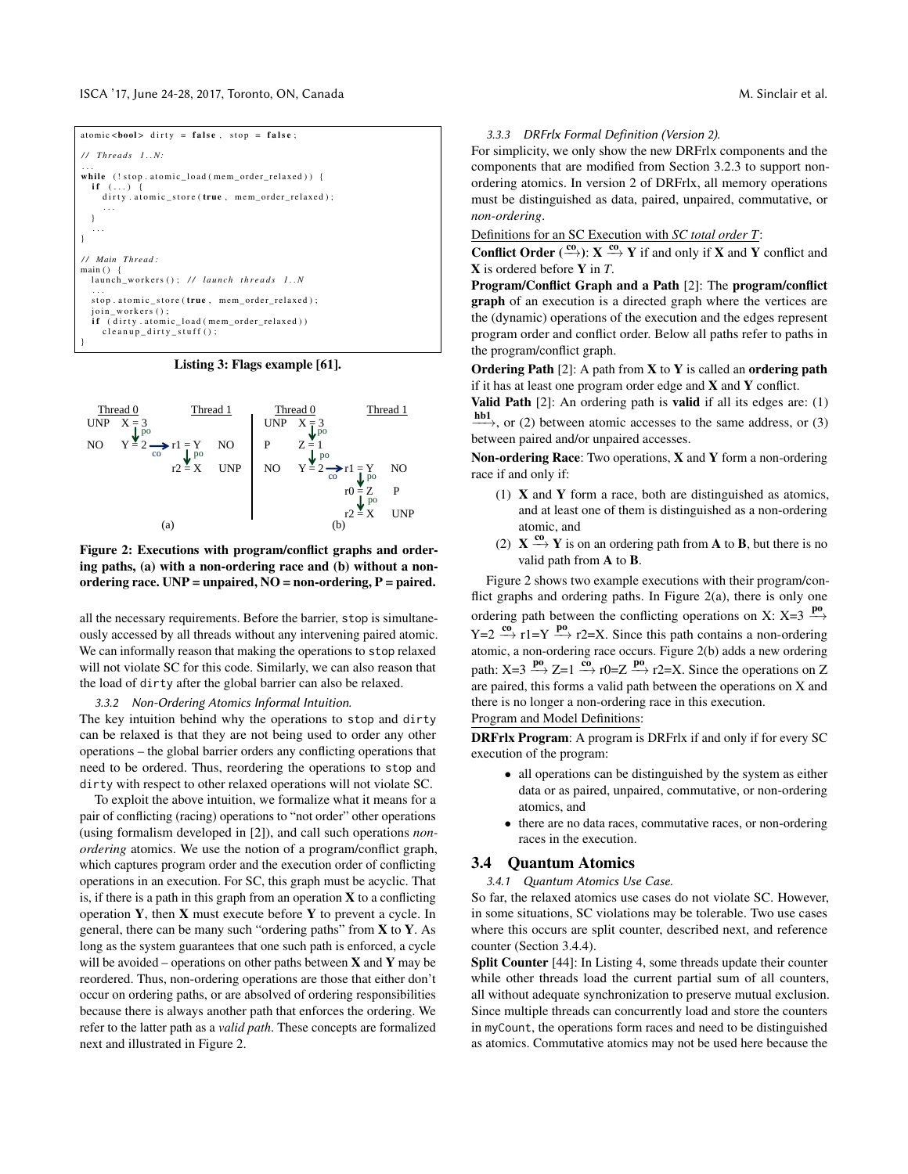<span id="page-5-2"></span>

| atomic<br>bool> dirty = false, stop = false;                                                                     |
|------------------------------------------------------------------------------------------------------------------|
| $//$ Threads $1N$ :                                                                                              |
| .<br>while (!stop.atomic_load(mem_order_relaxed)) {<br>if $()$ {<br>dirty.atomic_store(true, mem_order_relaxed); |
| $\cdots$                                                                                                         |
| // Main Thread:<br>main()                                                                                        |
| launch workers(); // launch threads 1N                                                                           |
| .<br>stop.atomic_store(true, mem_order_relaxed);<br>join workers();                                              |
| <b>if</b> (dirty.atomic_load(mem_order_relaxed))<br>$cleanup\_dirty_stuff()$ ;                                   |
|                                                                                                                  |

#### Listing 3: Flags example [\[61\]](#page-13-7).

<span id="page-5-3"></span>

Figure 2: Executions with program/conflict graphs and ordering paths, (a) with a non-ordering race and (b) without a nonordering race.  $UNP =$  unpaired,  $NO =$  non-ordering,  $P =$  paired.

all the necessary requirements. Before the barrier, stop is simultaneously accessed by all threads without any intervening paired atomic. We can informally reason that making the operations to stop relaxed will not violate SC for this code. Similarly, we can also reason that the load of dirty after the global barrier can also be relaxed.

#### 3.3.2 Non-Ordering Atomics Informal Intuition.

The key intuition behind why the operations to stop and dirty can be relaxed is that they are not being used to order any other operations – the global barrier orders any conflicting operations that need to be ordered. Thus, reordering the operations to stop and dirty with respect to other relaxed operations will not violate SC.

To exploit the above intuition, we formalize what it means for a pair of conflicting (racing) operations to "not order" other operations (using formalism developed in [\[2\]](#page-12-9)), and call such operations *nonordering* atomics. We use the notion of a program/conflict graph, which captures program order and the execution order of conflicting operations in an execution. For SC, this graph must be acyclic. That is, if there is a path in this graph from an operation  $X$  to a conflicting operation  $Y$ , then  $X$  must execute before  $Y$  to prevent a cycle. In general, there can be many such "ordering paths" from  $X$  to  $Y$ . As long as the system guarantees that one such path is enforced, a cycle will be avoided – operations on other paths between  $X$  and  $Y$  may be reordered. Thus, non-ordering operations are those that either don't occur on ordering paths, or are absolved of ordering responsibilities because there is always another path that enforces the ordering. We refer to the latter path as a *valid path*. These concepts are formalized next and illustrated in Figure [2.](#page-5-3)

#### <span id="page-5-4"></span>3.3.3 DRFrlx Formal Definition (Version 2).

For simplicity, we only show the new DRFrlx components and the components that are modified from Section [3.2.3](#page-4-4) to support nonordering atomics. In version 2 of DRFrlx, all memory operations must be distinguished as data, paired, unpaired, commutative, or *non-ordering*.

Definitions for an SC Execution with *SC total order T*:

**Conflict Order**  $\stackrel{\text{co}}{\longleftrightarrow}$ :  $X \stackrel{\text{co}}{\longrightarrow} Y$  if and only if **X** and **Y** conflict and X is ordered before Y in *T*.

Program/Conflict Graph and a Path [\[2\]](#page-12-9): The program/conflict graph of an execution is a directed graph where the vertices are the (dynamic) operations of the execution and the edges represent program order and conflict order. Below all paths refer to paths in the program/conflict graph.

**Ordering Path** [\[2\]](#page-12-9): A path from **X** to **Y** is called an **ordering path** if it has at least one program order edge and  $X$  and  $Y$  conflict.

Valid Path [\[2\]](#page-12-9): An ordering path is valid if all its edges are: (1)

 $\underline{\phantom{a}}^{\text{hb1}}$ , or (2) between atomic accesses to the same address, or (3) between paired and/or unpaired accesses.

Non-ordering Race: Two operations,  $X$  and  $Y$  form a non-ordering race if and only if:

- (1)  $X$  and  $Y$  form a race, both are distinguished as atomics, and at least one of them is distinguished as a non-ordering atomic, and
- (2)  $X \xrightarrow{\text{co}} Y$  is on an ordering path from **A** to **B**, but there is no valid path from A to B.

Figure [2](#page-5-3) shows two example executions with their program/conflict graphs and ordering paths. In Figure  $2(a)$ , there is only one ordering path between the conflicting operations on X: X=3  $\overset{po}{\longrightarrow}$  $Y=2 \frac{c_0}{\gamma} r1=Y \stackrel{po}{\longrightarrow} r2=X$ . Since this path contains a non-ordering atomic, a non-ordering race occurs. Figure [2\(](#page-5-3)b) adds a new ordering path:  $X=3 \stackrel{\text{po}}{\longrightarrow} Z=1 \stackrel{\text{co}}{\longrightarrow} r0=Z \stackrel{\text{po}}{\longrightarrow} r2=X$ . Since the operations on Z are paired, this forms a valid path between the operations on X and there is no longer a non-ordering race in this execution.

Program and Model Definitions:

DRFrlx Program: A program is DRFrlx if and only if for every SC execution of the program:

- all operations can be distinguished by the system as either data or as paired, unpaired, commutative, or non-ordering atomics, and
- there are no data races, commutative races, or non-ordering races in the execution.

### <span id="page-5-1"></span><span id="page-5-0"></span>3.4 Quantum Atomics

3.4.1 Quantum Atomics Use Case.

So far, the relaxed atomics use cases do not violate SC. However, in some situations, SC violations may be tolerable. Two use cases where this occurs are split counter, described next, and reference counter (Section [3.4.4\)](#page-6-0).

Split Counter [\[44\]](#page-13-21): In Listing [4,](#page-6-1) some threads update their counter while other threads load the current partial sum of all counters, all without adequate synchronization to preserve mutual exclusion. Since multiple threads can concurrently load and store the counters in myCount, the operations form races and need to be distinguished as atomics. Commutative atomics may not be used here because the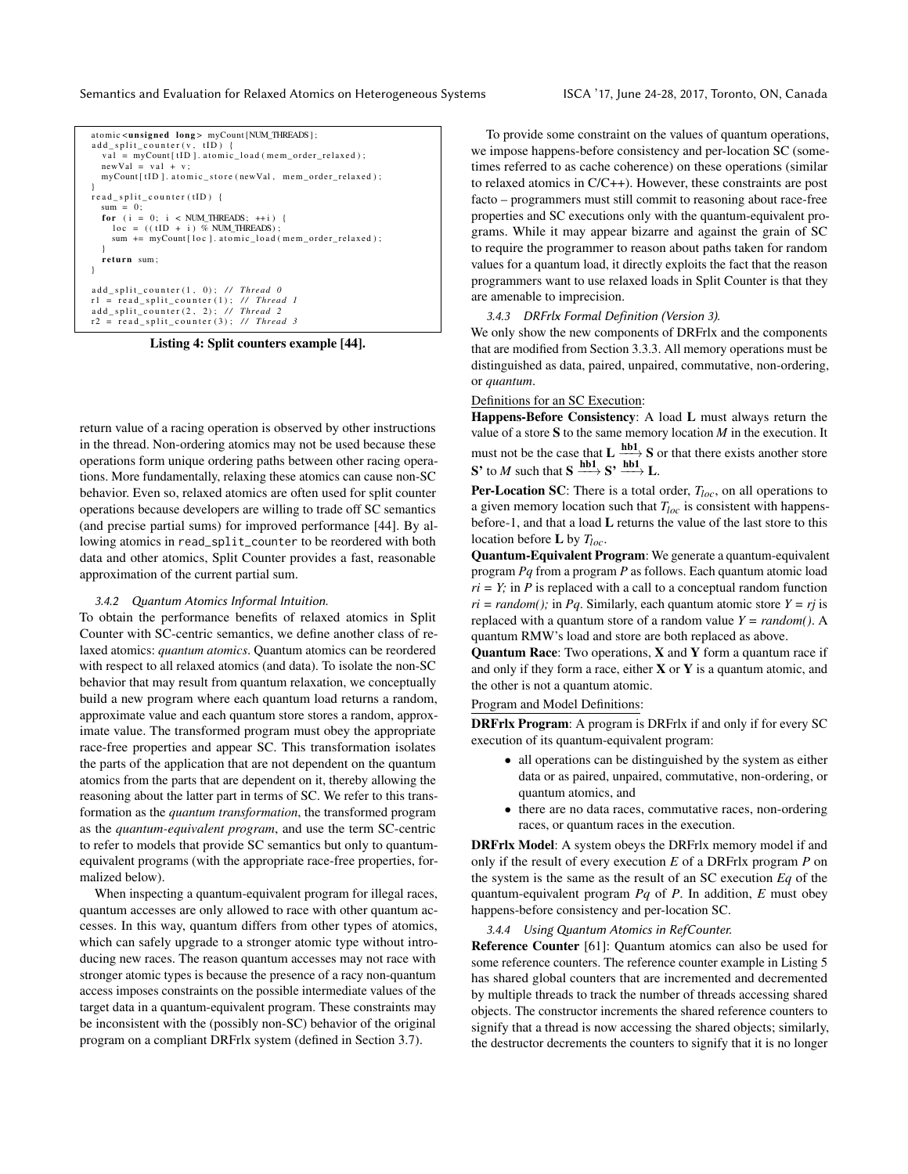<span id="page-6-1"></span>

Listing 4: Split counters example [\[44\]](#page-13-21).

return value of a racing operation is observed by other instructions in the thread. Non-ordering atomics may not be used because these operations form unique ordering paths between other racing operations. More fundamentally, relaxing these atomics can cause non-SC behavior. Even so, relaxed atomics are often used for split counter operations because developers are willing to trade off SC semantics (and precise partial sums) for improved performance [\[44\]](#page-13-21). By allowing atomics in read\_split\_counter to be reordered with both data and other atomics, Split Counter provides a fast, reasonable approximation of the current partial sum.

#### 3.4.2 Quantum Atomics Informal Intuition.

To obtain the performance benefits of relaxed atomics in Split Counter with SC-centric semantics, we define another class of relaxed atomics: *quantum atomics*. Quantum atomics can be reordered with respect to all relaxed atomics (and data). To isolate the non-SC behavior that may result from quantum relaxation, we conceptually build a new program where each quantum load returns a random, approximate value and each quantum store stores a random, approximate value. The transformed program must obey the appropriate race-free properties and appear SC. This transformation isolates the parts of the application that are not dependent on the quantum atomics from the parts that are dependent on it, thereby allowing the reasoning about the latter part in terms of SC. We refer to this transformation as the *quantum transformation*, the transformed program as the *quantum-equivalent program*, and use the term SC-centric to refer to models that provide SC semantics but only to quantumequivalent programs (with the appropriate race-free properties, formalized below).

When inspecting a quantum-equivalent program for illegal races, quantum accesses are only allowed to race with other quantum accesses. In this way, quantum differs from other types of atomics, which can safely upgrade to a stronger atomic type without introducing new races. The reason quantum accesses may not race with stronger atomic types is because the presence of a racy non-quantum access imposes constraints on the possible intermediate values of the target data in a quantum-equivalent program. These constraints may be inconsistent with the (possibly non-SC) behavior of the original program on a compliant DRFrlx system (defined in Section [3.7\)](#page-8-0).

To provide some constraint on the values of quantum operations, we impose happens-before consistency and per-location SC (sometimes referred to as cache coherence) on these operations (similar to relaxed atomics in C/C++). However, these constraints are post facto – programmers must still commit to reasoning about race-free properties and SC executions only with the quantum-equivalent programs. While it may appear bizarre and against the grain of SC to require the programmer to reason about paths taken for random values for a quantum load, it directly exploits the fact that the reason programmers want to use relaxed loads in Split Counter is that they are amenable to imprecision.

#### <span id="page-6-2"></span>3.4.3 DRFrlx Formal Definition (Version 3).

We only show the new components of DRFrlx and the components that are modified from Section [3.3.3.](#page-5-4) All memory operations must be distinguished as data, paired, unpaired, commutative, non-ordering, or *quantum*.

# Definitions for an SC Execution:

Happens-Before Consistency: A load L must always return the value of a store  $S$  to the same memory location  $M$  in the execution. It must not be the case that  $L \xrightarrow{\text{hb1}} S$  or that there exists another store S' to *M* such that  $S \xrightarrow{\text{hb1}} S' \xrightarrow{\text{hb1}} L$ .

**Per-Location SC:** There is a total order,  $T_{loc}$ , on all operations to a given memory location such that *Tloc* is consistent with happensbefore-1, and that a load L returns the value of the last store to this location before L by *Tloc*.

Quantum-Equivalent Program: We generate a quantum-equivalent program *Pq* from a program *P* as follows. Each quantum atomic load  $ri = Y$ ; in *P* is replaced with a call to a conceptual random function  $ri = random()$ ; in *Pq*. Similarly, each quantum atomic store  $Y = rj$  is replaced with a quantum store of a random value *Y = random()*. A quantum RMW's load and store are both replaced as above.

Quantum Race: Two operations, X and Y form a quantum race if and only if they form a race, either  $X$  or  $Y$  is a quantum atomic, and the other is not a quantum atomic.

### Program and Model Definitions:

DRFrlx Program: A program is DRFrlx if and only if for every SC execution of its quantum-equivalent program:

- all operations can be distinguished by the system as either data or as paired, unpaired, commutative, non-ordering, or quantum atomics, and
- there are no data races, commutative races, non-ordering races, or quantum races in the execution.

DRFrlx Model: A system obeys the DRFrlx memory model if and only if the result of every execution *E* of a DRFrlx program *P* on the system is the same as the result of an SC execution *Eq* of the quantum-equivalent program *Pq* of *P*. In addition, *E* must obey happens-before consistency and per-location SC.

#### <span id="page-6-0"></span>3.4.4 Using Quantum Atomics in RefCounter.

Reference Counter [\[61\]](#page-13-7): Quantum atomics can also be used for some reference counters. The reference counter example in Listing [5](#page-7-1) has shared global counters that are incremented and decremented by multiple threads to track the number of threads accessing shared objects. The constructor increments the shared reference counters to signify that a thread is now accessing the shared objects; similarly, the destructor decrements the counters to signify that it is no longer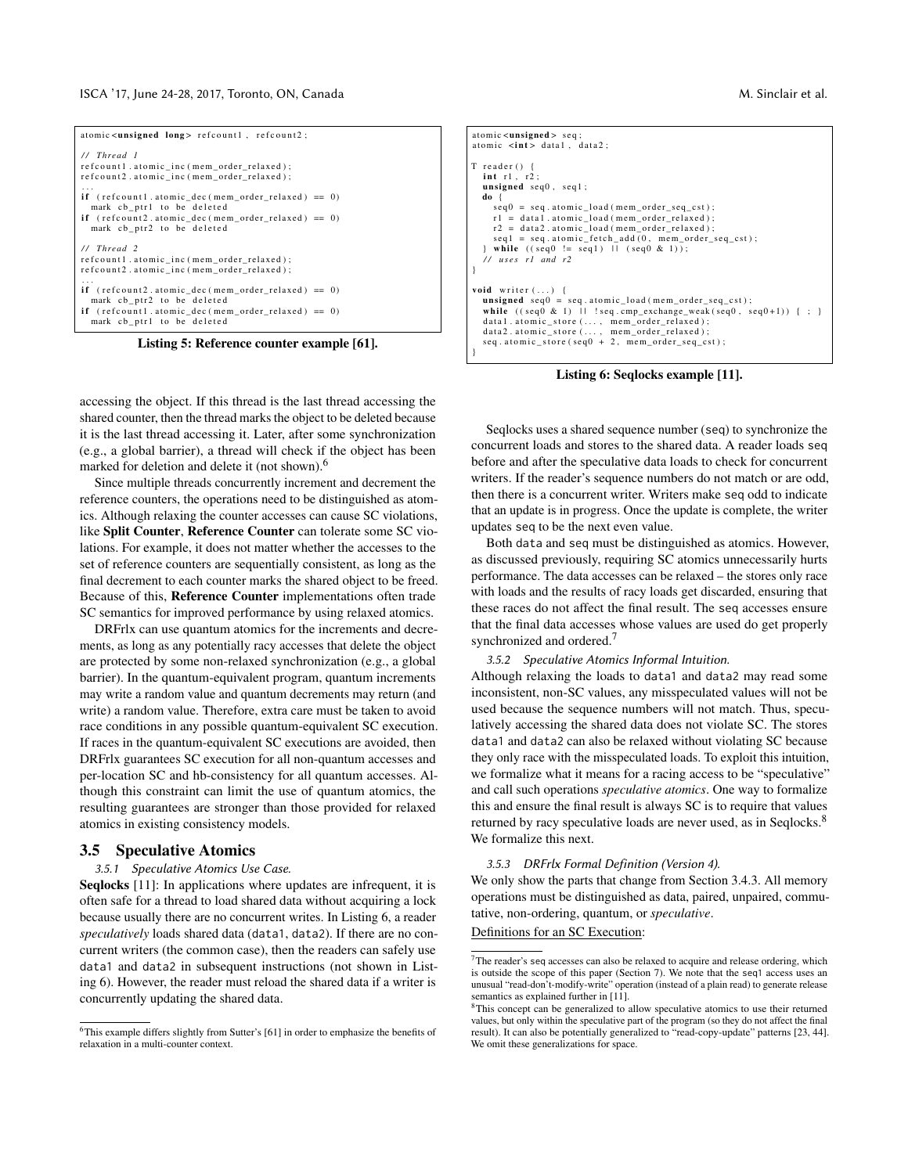<span id="page-7-1"></span>

| atomic <unsigned long=""> refcount1, refcount2;</unsigned>                                                                                                                             |
|----------------------------------------------------------------------------------------------------------------------------------------------------------------------------------------|
| // Thread 1<br>refcount1.atomic inc (mem order relaxed);<br>refcount2.atomic inc (mem order relaxed);<br>.                                                                             |
| <b>if</b> (refcount1.atomic dec(mem order relaxed) == 0)<br>mark cb ptr1 to be deleted<br><b>if</b> $(refcount2.atomic\_dec (mem-order_{relaxed}) == 0)$<br>mark cb ptr2 to be deleted |
| // Thread 2<br>refcount1.atomic inc (mem order relaxed);<br>refcount2.atomic inc (mem order relaxed);                                                                                  |
| .<br>if $(refoount2.atomic\_dec (mem-order\_relaxed) == 0)$<br>mark cb ptr2 to be deleted<br>if (refcount1.atomic dec(mem order relaxed) == $0$ )<br>mark cb_ptr1 to be deleted        |

Listing 5: Reference counter example [\[61\]](#page-13-7).

accessing the object. If this thread is the last thread accessing the shared counter, then the thread marks the object to be deleted because it is the last thread accessing it. Later, after some synchronization (e.g., a global barrier), a thread will check if the object has been marked for deletion and delete it (not shown).<sup>[6](#page-7-2)</sup>

Since multiple threads concurrently increment and decrement the reference counters, the operations need to be distinguished as atomics. Although relaxing the counter accesses can cause SC violations, like Split Counter, Reference Counter can tolerate some SC violations. For example, it does not matter whether the accesses to the set of reference counters are sequentially consistent, as long as the final decrement to each counter marks the shared object to be freed. Because of this, Reference Counter implementations often trade SC semantics for improved performance by using relaxed atomics.

DRFrlx can use quantum atomics for the increments and decrements, as long as any potentially racy accesses that delete the object are protected by some non-relaxed synchronization (e.g., a global barrier). In the quantum-equivalent program, quantum increments may write a random value and quantum decrements may return (and write) a random value. Therefore, extra care must be taken to avoid race conditions in any possible quantum-equivalent SC execution. If races in the quantum-equivalent SC executions are avoided, then DRFrlx guarantees SC execution for all non-quantum accesses and per-location SC and hb-consistency for all quantum accesses. Although this constraint can limit the use of quantum atomics, the resulting guarantees are stronger than those provided for relaxed atomics in existing consistency models.

#### 3.5 Speculative Atomics

#### <span id="page-7-0"></span>3.5.1 Speculative Atomics Use Case.

Seqlocks [\[11\]](#page-12-11): In applications where updates are infrequent, it is often safe for a thread to load shared data without acquiring a lock because usually there are no concurrent writes. In Listing [6,](#page-7-3) a reader *speculatively* loads shared data (data1, data2). If there are no concurrent writers (the common case), then the readers can safely use data1 and data2 in subsequent instructions (not shown in Listing [6\)](#page-7-3). However, the reader must reload the shared data if a writer is concurrently updating the shared data.

<span id="page-7-3"></span>atomic <unsigned > seq atomic  $\langle \text{int} \rangle$  data1, data2;  $T$  reader () {  $int$  r1,  $r2$ unsigned seq0 , seq1 ; do {  $seq0 = seq$ . atomic\_load (mem\_order\_seq\_cst);  $r1 = data1$ . atomic\_load (mem\_order\_relaxed); r2 = data2.atomic\_load (mem\_order\_relaxed);<br>seq1 = seq.atomic\_fetch\_add(0, mem\_order\_seq\_cst); } while ( ( seq0 != seq1 ) | | ( seq0 & 1) ) ; */ / u s e s r1 and r2* } void writer  $(\ldots)$  { unsigned seq0 = seq.atomic\_load(mem\_order\_seq\_cst);<br>while ((seq0 & 1) || !seq.cmp\_exchange\_weak(seq0, seq0+1)) { ; } data1.atomic\_store(..., mem\_order\_relaxed);<br>data2.atomic\_store(..., mem\_order\_relaxed); data2.atomic\_store(..., mem\_order\_relaxed);<br>seq.atomic\_store(seq0 + 2, mem\_order\_seq\_cst); }

Listing 6: Seqlocks example [\[11\]](#page-12-11).

Seqlocks uses a shared sequence number (seq) to synchronize the concurrent loads and stores to the shared data. A reader loads seq before and after the speculative data loads to check for concurrent writers. If the reader's sequence numbers do not match or are odd, then there is a concurrent writer. Writers make seq odd to indicate that an update is in progress. Once the update is complete, the writer updates seq to be the next even value.

Both data and seq must be distinguished as atomics. However, as discussed previously, requiring SC atomics unnecessarily hurts performance. The data accesses can be relaxed – the stores only race with loads and the results of racy loads get discarded, ensuring that these races do not affect the final result. The seq accesses ensure that the final data accesses whose values are used do get properly synchronized and ordered.<sup>[7](#page-7-4)</sup>

#### 3.5.2 Speculative Atomics Informal Intuition.

Although relaxing the loads to data1 and data2 may read some inconsistent, non-SC values, any misspeculated values will not be used because the sequence numbers will not match. Thus, speculatively accessing the shared data does not violate SC. The stores data1 and data2 can also be relaxed without violating SC because they only race with the misspeculated loads. To exploit this intuition, we formalize what it means for a racing access to be "speculative" and call such operations *speculative atomics*. One way to formalize this and ensure the final result is always SC is to require that values returned by racy speculative loads are never used, as in Seqlocks.<sup>[8](#page-7-5)</sup> We formalize this next.

#### 3.5.3 DRFrlx Formal Definition (Version 4).

We only show the parts that change from Section [3.4.3.](#page-6-2) All memory operations must be distinguished as data, paired, unpaired, commutative, non-ordering, quantum, or *speculative*.

Definitions for an SC Execution:

<span id="page-7-2"></span><sup>6</sup>This example differs slightly from Sutter's [\[61\]](#page-13-7) in order to emphasize the benefits of relaxation in a multi-counter context.

<span id="page-7-4"></span> $\sqrt{7}$ The reader's seq accesses can also be relaxed to acquire and release ordering, which is outside the scope of this paper (Section [7\)](#page-12-8). We note that the seq1 access uses an unusual "read-don't-modify-write" operation (instead of a plain read) to generate release semantics as explained further in [\[11\]](#page-12-11).

<span id="page-7-5"></span><sup>&</sup>lt;sup>8</sup>This concept can be generalized to allow speculative atomics to use their returned values, but only within the speculative part of the program (so they do not affect the final result). It can also be potentially generalized to "read-copy-update" patterns [\[23,](#page-13-26) [44\]](#page-13-21). We omit these generalizations for space.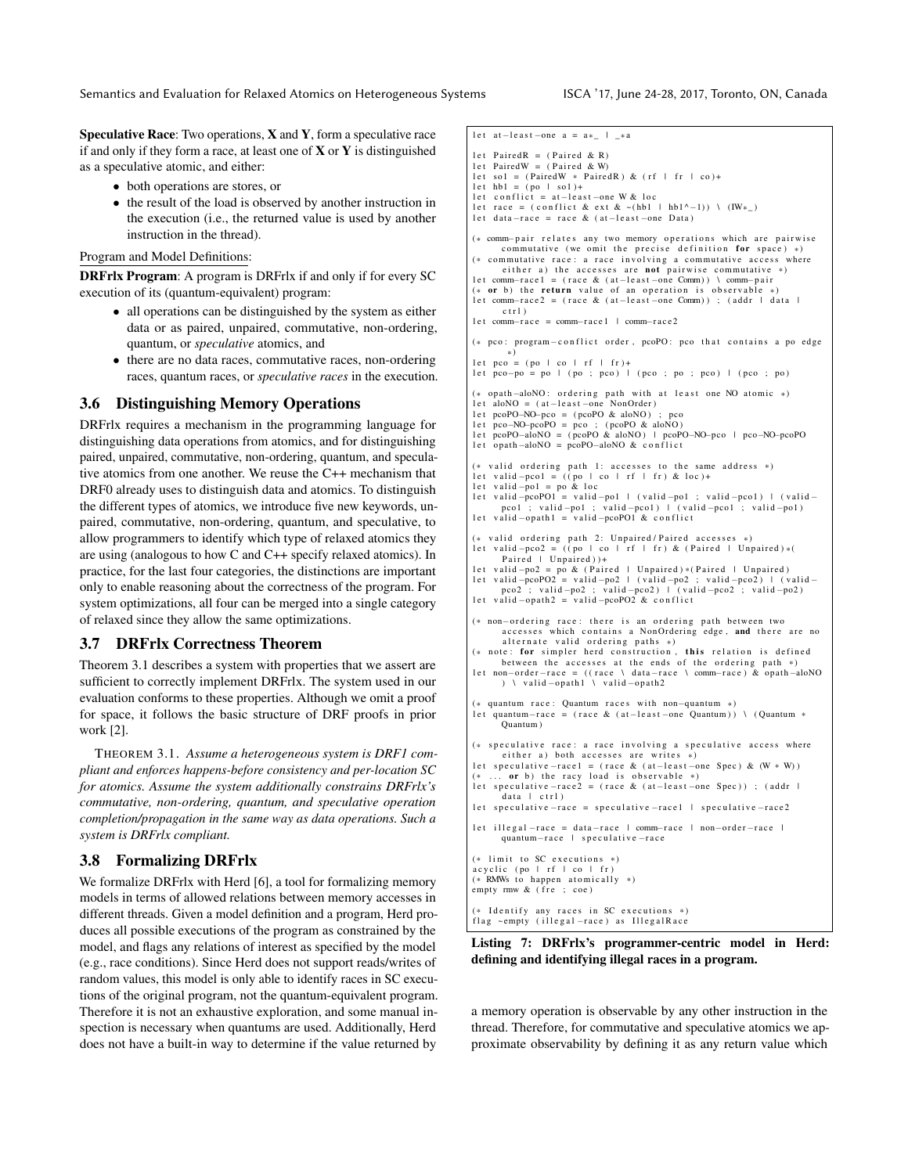**Speculative Race:** Two operations,  $X$  and  $Y$ , form a speculative race if and only if they form a race, at least one of  $X$  or  $Y$  is distinguished as a speculative atomic, and either:

- both operations are stores, or
- the result of the load is observed by another instruction in the execution (i.e., the returned value is used by another instruction in the thread).

#### Program and Model Definitions:

DRFrlx Program: A program is DRFrlx if and only if for every SC execution of its (quantum-equivalent) program:

- all operations can be distinguished by the system as either data or as paired, unpaired, commutative, non-ordering, quantum, or *speculative* atomics, and
- there are no data races, commutative races, non-ordering races, quantum races, or *speculative races* in the execution.

# 3.6 Distinguishing Memory Operations

DRFrlx requires a mechanism in the programming language for distinguishing data operations from atomics, and for distinguishing paired, unpaired, commutative, non-ordering, quantum, and speculative atomics from one another. We reuse the C++ mechanism that DRF0 already uses to distinguish data and atomics. To distinguish the different types of atomics, we introduce five new keywords, unpaired, commutative, non-ordering, quantum, and speculative, to allow programmers to identify which type of relaxed atomics they are using (analogous to how C and C++ specify relaxed atomics). In practice, for the last four categories, the distinctions are important only to enable reasoning about the correctness of the program. For system optimizations, all four can be merged into a single category of relaxed since they allow the same optimizations.

# <span id="page-8-0"></span>3.7 DRFrlx Correctness Theorem

Theorem [3.1](#page-8-1) describes a system with properties that we assert are sufficient to correctly implement DRFrlx. The system used in our evaluation conforms to these properties. Although we omit a proof for space, it follows the basic structure of DRF proofs in prior work [\[2\]](#page-12-9).

<span id="page-8-1"></span>THEOREM 3.1. *Assume a heterogeneous system is DRF1 compliant and enforces happens-before consistency and per-location SC for atomics. Assume the system additionally constrains DRFrlx's commutative, non-ordering, quantum, and speculative operation completion/propagation in the same way as data operations. Such a system is DRFrlx compliant.*

# 3.8 Formalizing DRFrlx

We formalize DRFrlx with Herd [\[6\]](#page-12-13), a tool for formalizing memory models in terms of allowed relations between memory accesses in different threads. Given a model definition and a program, Herd produces all possible executions of the program as constrained by the model, and flags any relations of interest as specified by the model (e.g., race conditions). Since Herd does not support reads/writes of random values, this model is only able to identify races in SC executions of the original program, not the quantum-equivalent program. Therefore it is not an exhaustive exploration, and some manual inspection is necessary when quantums are used. Additionally, Herd does not have a built-in way to determine if the value returned by

```
l et at –least –one a = a^* | *a
let PairedR = (Paired & R)
let PairedW = (Paired & W)
let sol = (PairedW * PairedR) & (rf | fr | co)+
let hb1 = (po + so1) +let conflict = at-least-one W & loc
let race = ( conflict & ext & ~(hb1 | hb1^{\wedge}-1) \ (IW*)
l et data-race = race & (at-least-one Data)
(* comm-pair relates any two memory operations which are pairwise
      commutative (we omit the precise definition for space) *)(*) commutative race: a race involving a commutative access where
       either a) the accesses are not pairwise commutative *)l et comm-rac e 1 = (race & (at-least -one Comm)) \ comm-pair
(*) or b) the return value of an operation is observable
let comm-race2 = (race & (at-least-one Comm)) ; (addr | data |
      ctr l )l et comm-race = comm-rac e 1 | comm-rac e 2
(* pco: program-conflict order, pcoPO: pco that contains a po edge
*)
l e t pco = ( po | co | r f | f r ) +
l e t pco−po = po | ( po ; pco ) | ( pco ; po ; pco ) | ( pco ; po )
(* opath−aloNO: ordering path with at least one NO atomic *)<br>let aloNO = (at−least−one NonOrder)
l et pcoPO-NO-pco = (\text{pcoPO} & \text{aloNO}); pco
let pco−NO−pcoPO = pco ; (pcoPO & aloNO)<br>let pcoPO−aloNO = (pcoPO & aloNO) | pcoPO−NO−pco | pco−NO−pcoPO
     opath-aloNO = pcoPO-aloNO & conflict
(*) valid ordering path 1: accesses to the same address *)let valid −pco1 = ((po | co | rf | fr) & loc)+<br>let valid −po1 = po & loc
let valid –pcoPO1 = valid –po1 | (valid –po1 ; valid –pco1) | (valid –pco1)<br>pco1 ; valid –po1 ; valid –pco1) | (valid –pco1 ; valid –po1)
pco1 ; valid −po1 ; valid −pco1) | (valid −pco1 ; valid −po1)<br>let valid −opath1 = valid −pcoPO1 & conflict
(* valid ordering path 2: Unpaired/Paired accesses *)let valid -pco2 = ((po + co + rf + fr) & (Paired + Unpaired) *()Paired + Unpaired) ) +
let valid-po2 = po & (Paired | Unpaired)*(Paired | Unpaired)<br>let valid-peoPO2 = valid-po2 | (valid-po2 ; valid-peo2) | (valid-<br>pco2 ; valid-po2 ; valid-po2 ) | (valid-peo2 ; valid-po2)
l et valid -\text{opath2} = \text{valid} - \text{proj}(20 \& \text{conflict}(* non-ordering race: there is an ordering path between two
       accesses which contains a NonOrdering edge, and there are no
       alternate valid ordering paths *)
(* note: for simpler herd construction, this relation is defined between the accesses at the ends of the ordering path *)l et non-order-race = ((race \ data-race \ comm-race) & opath-aloNO
       ) \ valid -opath1 \ valid -opath2
   quantum race: Quantum races with non-quantum *)
l et quantum-race = (race & (at-least -one Quantum)) \ (Quantum *
      Quantum )
(*) speculative race: a race involving a speculative access where
       either a) both accesses are writes *)
let speculative –race1 = (race & (at-least –one Spec) & (W * W))
(* ... or b) the racy load is observable *)<br>let speculative – race2 = (race & (at-least – one Spec)) ; (addr |
      .<br>data l ctrl)
let speculative –race = speculative –race1 | speculative –race2
let illegal −race = data −race | comm−race | non−order −race |
      quantum-race | speculative-race
(*) limit to SC executions *)\alpha cyclic (po | rf | co | fr)
(* RMWs to happen atomically *)empty \text{rm } w \& \text{ (fre ; coef)}
```
(\* Identify any races in SC executions \*)<br>flag ∼empty (illegal−race) as IllegalRace

#### Listing 7: DRFrlx's programmer-centric model in Herd: defining and identifying illegal races in a program.

a memory operation is observable by any other instruction in the thread. Therefore, for commutative and speculative atomics we approximate observability by defining it as any return value which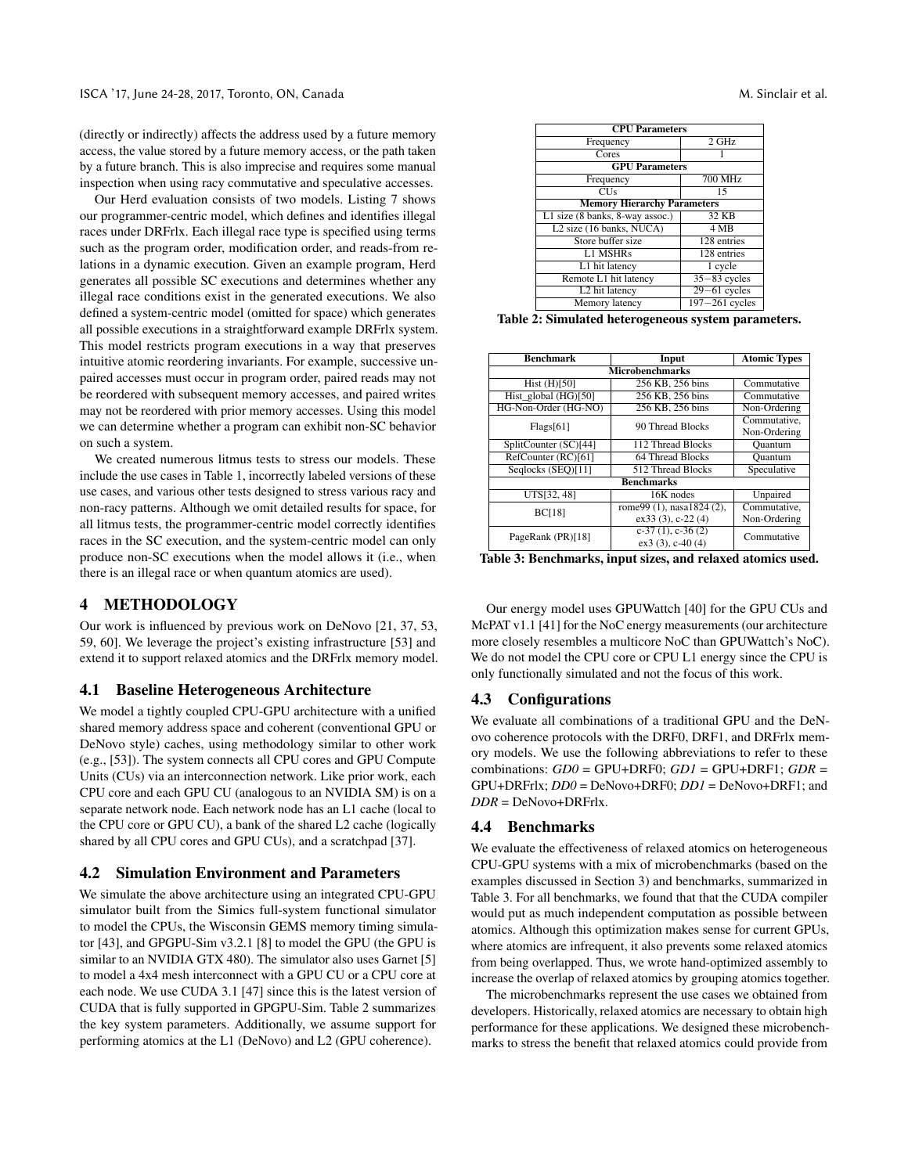(directly or indirectly) affects the address used by a future memory access, the value stored by a future memory access, or the path taken by a future branch. This is also imprecise and requires some manual inspection when using racy commutative and speculative accesses.

Our Herd evaluation consists of two models. Listing [7](#page-8-2) shows our programmer-centric model, which defines and identifies illegal races under DRFrlx. Each illegal race type is specified using terms such as the program order, modification order, and reads-from relations in a dynamic execution. Given an example program, Herd generates all possible SC executions and determines whether any illegal race conditions exist in the generated executions. We also defined a system-centric model (omitted for space) which generates all possible executions in a straightforward example DRFrlx system. This model restricts program executions in a way that preserves intuitive atomic reordering invariants. For example, successive unpaired accesses must occur in program order, paired reads may not be reordered with subsequent memory accesses, and paired writes may not be reordered with prior memory accesses. Using this model we can determine whether a program can exhibit non-SC behavior on such a system.

We created numerous litmus tests to stress our models. These include the use cases in Table [1,](#page-3-2) incorrectly labeled versions of these use cases, and various other tests designed to stress various racy and non-racy patterns. Although we omit detailed results for space, for all litmus tests, the programmer-centric model correctly identifies races in the SC execution, and the system-centric model can only produce non-SC executions when the model allows it (i.e., when there is an illegal race or when quantum atomics are used).

# 4 METHODOLOGY

Our work is influenced by previous work on DeNovo [\[21,](#page-13-27) [37,](#page-13-28) [53,](#page-13-22) [59,](#page-13-29) [60\]](#page-13-30). We leverage the project's existing infrastructure [\[53\]](#page-13-22) and extend it to support relaxed atomics and the DRFrlx memory model.

#### 4.1 Baseline Heterogeneous Architecture

We model a tightly coupled CPU-GPU architecture with a unified shared memory address space and coherent (conventional GPU or DeNovo style) caches, using methodology similar to other work (e.g., [\[53\]](#page-13-22)). The system connects all CPU cores and GPU Compute Units (CUs) via an interconnection network. Like prior work, each CPU core and each GPU CU (analogous to an NVIDIA SM) is on a separate network node. Each network node has an L1 cache (local to the CPU core or GPU CU), a bank of the shared L2 cache (logically shared by all CPU cores and GPU CUs), and a scratchpad [\[37\]](#page-13-28).

### 4.2 Simulation Environment and Parameters

We simulate the above architecture using an integrated CPU-GPU simulator built from the Simics full-system functional simulator to model the CPUs, the Wisconsin GEMS memory timing simulator [\[43\]](#page-13-31), and GPGPU-Sim v3.2.1 [\[8\]](#page-12-14) to model the GPU (the GPU is similar to an NVIDIA GTX 480). The simulator also uses Garnet [\[5\]](#page-12-15) to model a 4x4 mesh interconnect with a GPU CU or a CPU core at each node. We use CUDA 3.1 [\[47\]](#page-13-32) since this is the latest version of CUDA that is fully supported in GPGPU-Sim. Table [2](#page-9-1) summarizes the key system parameters. Additionally, we assume support for performing atomics at the L1 (DeNovo) and L2 (GPU coherence).

<span id="page-9-1"></span>

| <b>CPU</b> Parameters                |                           |  |  |  |
|--------------------------------------|---------------------------|--|--|--|
| Frequency                            | $2$ GHz                   |  |  |  |
| Cores                                |                           |  |  |  |
| <b>GPU Parameters</b>                |                           |  |  |  |
| Frequency                            | $700$ MHz                 |  |  |  |
| <b>CUs</b>                           | 15                        |  |  |  |
| <b>Memory Hierarchy Parameters</b>   |                           |  |  |  |
| L1 size (8 banks, 8-way assoc.)      | 32 KB                     |  |  |  |
| L <sub>2</sub> size (16 banks, NUCA) | 4 MB                      |  |  |  |
| Store buffer size                    | 128 entries               |  |  |  |
| <b>L1 MSHRs</b>                      | 128 entries               |  |  |  |
| L1 hit latency                       | 1 cycle                   |  |  |  |
| Remote L1 hit latency                | $35 - 83$ cycles          |  |  |  |
| L2 hit latency                       | $\overline{29-61}$ cycles |  |  |  |
| Memory latency                       | $197 - 261$ cycles        |  |  |  |

Table 2: Simulated heterogeneous system parameters.

<span id="page-9-2"></span>

| <b>Benchmark</b>          | Input                     | <b>Atomic Types</b> |  |  |  |
|---------------------------|---------------------------|---------------------|--|--|--|
| <b>Microbenchmarks</b>    |                           |                     |  |  |  |
| Hist $(H)[\overline{50}]$ | 256 KB, 256 bins          | Commutative         |  |  |  |
| Hist global (HG)[50]      | 256 KB, 256 bins          | Commutative         |  |  |  |
| HG-Non-Order (HG-NO)      | 256 KB, 256 bins          | Non-Ordering        |  |  |  |
| Flags[61]                 | 90 Thread Blocks          | Commutative,        |  |  |  |
|                           |                           | Non-Ordering        |  |  |  |
| SplitCounter (SC)[44]     | 112 Thread Blocks         | Ouantum             |  |  |  |
| RefCounter (RC)[61]       | 64 Thread Blocks          | Quantum             |  |  |  |
| Seglocks (SEO)[11]        | 512 Thread Blocks         | Speculative         |  |  |  |
| <b>Benchmarks</b>         |                           |                     |  |  |  |
| UTS[32, 48]               | 16K nodes                 | Unpaired            |  |  |  |
| <b>BC[18]</b>             | rome99 (1), nasa1824 (2), | Commutative.        |  |  |  |
|                           | $ex33(3)$ , c-22 $(4)$    | Non-Ordering        |  |  |  |
| PageRank (PR)[18]         | $c-37$ (1), $c-36$ (2)    | Commutative         |  |  |  |
|                           | $ex3(3)$ , c-40(4)        |                     |  |  |  |

Table 3: Benchmarks, input sizes, and relaxed atomics used.

Our energy model uses GPUWattch [\[40\]](#page-13-33) for the GPU CUs and McPAT v1.1 [\[41\]](#page-13-34) for the NoC energy measurements (our architecture more closely resembles a multicore NoC than GPUWattch's NoC). We do not model the CPU core or CPU L1 energy since the CPU is only functionally simulated and not the focus of this work.

#### <span id="page-9-3"></span>4.3 Configurations

We evaluate all combinations of a traditional GPU and the DeNovo coherence protocols with the DRF0, DRF1, and DRFrlx memory models. We use the following abbreviations to refer to these combinations: *GD0* = GPU+DRF0; *GD1* = GPU+DRF1; *GDR* = GPU+DRFrlx; *DD0* = DeNovo+DRF0; *DD1* = DeNovo+DRF1; and *DDR* = DeNovo+DRFrlx.

#### <span id="page-9-0"></span>4.4 Benchmarks

We evaluate the effectiveness of relaxed atomics on heterogeneous CPU-GPU systems with a mix of microbenchmarks (based on the examples discussed in Section [3\)](#page-3-7) and benchmarks, summarized in Table [3.](#page-9-2) For all benchmarks, we found that that the CUDA compiler would put as much independent computation as possible between atomics. Although this optimization makes sense for current GPUs, where atomics are infrequent, it also prevents some relaxed atomics from being overlapped. Thus, we wrote hand-optimized assembly to increase the overlap of relaxed atomics by grouping atomics together.

The microbenchmarks represent the use cases we obtained from developers. Historically, relaxed atomics are necessary to obtain high performance for these applications. We designed these microbenchmarks to stress the benefit that relaxed atomics could provide from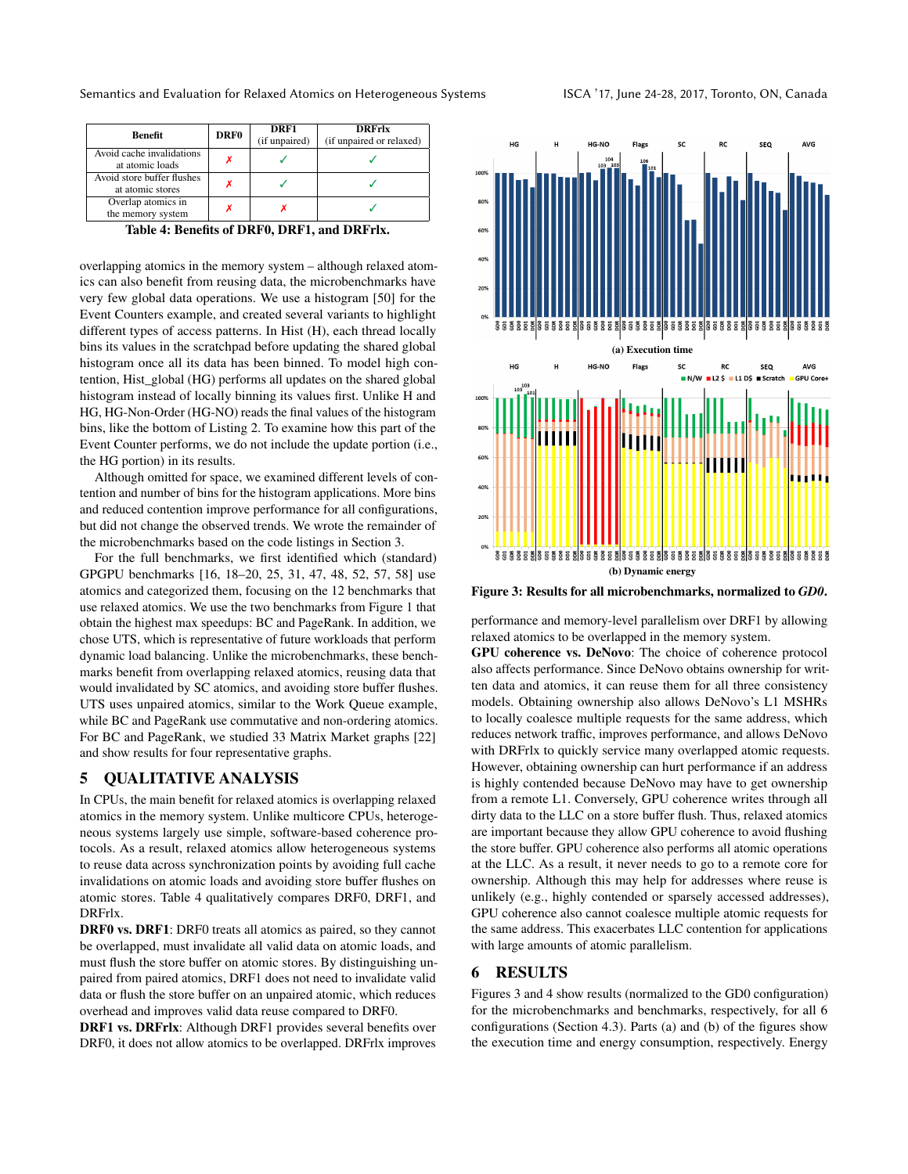<span id="page-10-1"></span>

| Benefit                                        | DRF0 | DRF1<br>(if unpaired) | <b>DRFrlx</b><br>(if unpaired or relaxed) |  |  |
|------------------------------------------------|------|-----------------------|-------------------------------------------|--|--|
| Avoid cache invalidations<br>at atomic loads   |      |                       |                                           |  |  |
| Avoid store buffer flushes<br>at atomic stores |      |                       |                                           |  |  |
| Overlap atomics in<br>the memory system        |      |                       |                                           |  |  |
| -----<br>$\sim$                                |      |                       |                                           |  |  |

Table 4: Benefits of DRF0, DRF1, and DRFrlx.

overlapping atomics in the memory system – although relaxed atomics can also benefit from reusing data, the microbenchmarks have very few global data operations. We use a histogram [\[50\]](#page-13-12) for the Event Counters example, and created several variants to highlight different types of access patterns. In Hist (H), each thread locally bins its values in the scratchpad before updating the shared global histogram once all its data has been binned. To model high contention, Hist\_global (HG) performs all updates on the shared global histogram instead of locally binning its values first. Unlike H and HG, HG-Non-Order (HG-NO) reads the final values of the histogram bins, like the bottom of Listing [2.](#page-4-2) To examine how this part of the Event Counter performs, we do not include the update portion (i.e., the HG portion) in its results.

Although omitted for space, we examined different levels of contention and number of bins for the histogram applications. More bins and reduced contention improve performance for all configurations, but did not change the observed trends. We wrote the remainder of the microbenchmarks based on the code listings in Section [3.](#page-3-7)

For the full benchmarks, we first identified which (standard) GPGPU benchmarks [\[16,](#page-13-8) [18](#page-13-9)[–20,](#page-13-35) [25,](#page-13-10) [31,](#page-13-36) [47,](#page-13-32) [48,](#page-13-11) [52,](#page-13-13) [57,](#page-13-14) [58\]](#page-13-37) use atomics and categorized them, focusing on the 12 benchmarks that use relaxed atomics. We use the two benchmarks from Figure [1](#page-1-1) that obtain the highest max speedups: BC and PageRank. In addition, we chose UTS, which is representative of future workloads that perform dynamic load balancing. Unlike the microbenchmarks, these benchmarks benefit from overlapping relaxed atomics, reusing data that would invalidated by SC atomics, and avoiding store buffer flushes. UTS uses unpaired atomics, similar to the Work Queue example, while BC and PageRank use commutative and non-ordering atomics. For BC and PageRank, we studied 33 Matrix Market graphs [\[22\]](#page-13-38) and show results for four representative graphs.

# 5 QUALITATIVE ANALYSIS

In CPUs, the main benefit for relaxed atomics is overlapping relaxed atomics in the memory system. Unlike multicore CPUs, heterogeneous systems largely use simple, software-based coherence protocols. As a result, relaxed atomics allow heterogeneous systems to reuse data across synchronization points by avoiding full cache invalidations on atomic loads and avoiding store buffer flushes on atomic stores. Table [4](#page-10-1) qualitatively compares DRF0, DRF1, and DRFrlx.

DRF0 vs. DRF1: DRF0 treats all atomics as paired, so they cannot be overlapped, must invalidate all valid data on atomic loads, and must flush the store buffer on atomic stores. By distinguishing unpaired from paired atomics, DRF1 does not need to invalidate valid data or flush the store buffer on an unpaired atomic, which reduces overhead and improves valid data reuse compared to DRF0.

DRF1 vs. DRFrlx: Although DRF1 provides several benefits over DRF0, it does not allow atomics to be overlapped. DRFrlx improves

<span id="page-10-2"></span>

Figure 3: Results for all microbenchmarks, normalized to *GD0*.

performance and memory-level parallelism over DRF1 by allowing relaxed atomics to be overlapped in the memory system.

GPU coherence vs. DeNovo: The choice of coherence protocol also affects performance. Since DeNovo obtains ownership for written data and atomics, it can reuse them for all three consistency models. Obtaining ownership also allows DeNovo's L1 MSHRs to locally coalesce multiple requests for the same address, which reduces network traffic, improves performance, and allows DeNovo with DRFrlx to quickly service many overlapped atomic requests. However, obtaining ownership can hurt performance if an address is highly contended because DeNovo may have to get ownership from a remote L1. Conversely, GPU coherence writes through all dirty data to the LLC on a store buffer flush. Thus, relaxed atomics are important because they allow GPU coherence to avoid flushing the store buffer. GPU coherence also performs all atomic operations at the LLC. As a result, it never needs to go to a remote core for ownership. Although this may help for addresses where reuse is unlikely (e.g., highly contended or sparsely accessed addresses), GPU coherence also cannot coalesce multiple atomic requests for the same address. This exacerbates LLC contention for applications with large amounts of atomic parallelism.

# <span id="page-10-0"></span>6 RESULTS

Figures [3](#page-10-2) and [4](#page-11-0) show results (normalized to the GD0 configuration) for the microbenchmarks and benchmarks, respectively, for all 6 configurations (Section [4.3\)](#page-9-3). Parts (a) and (b) of the figures show the execution time and energy consumption, respectively. Energy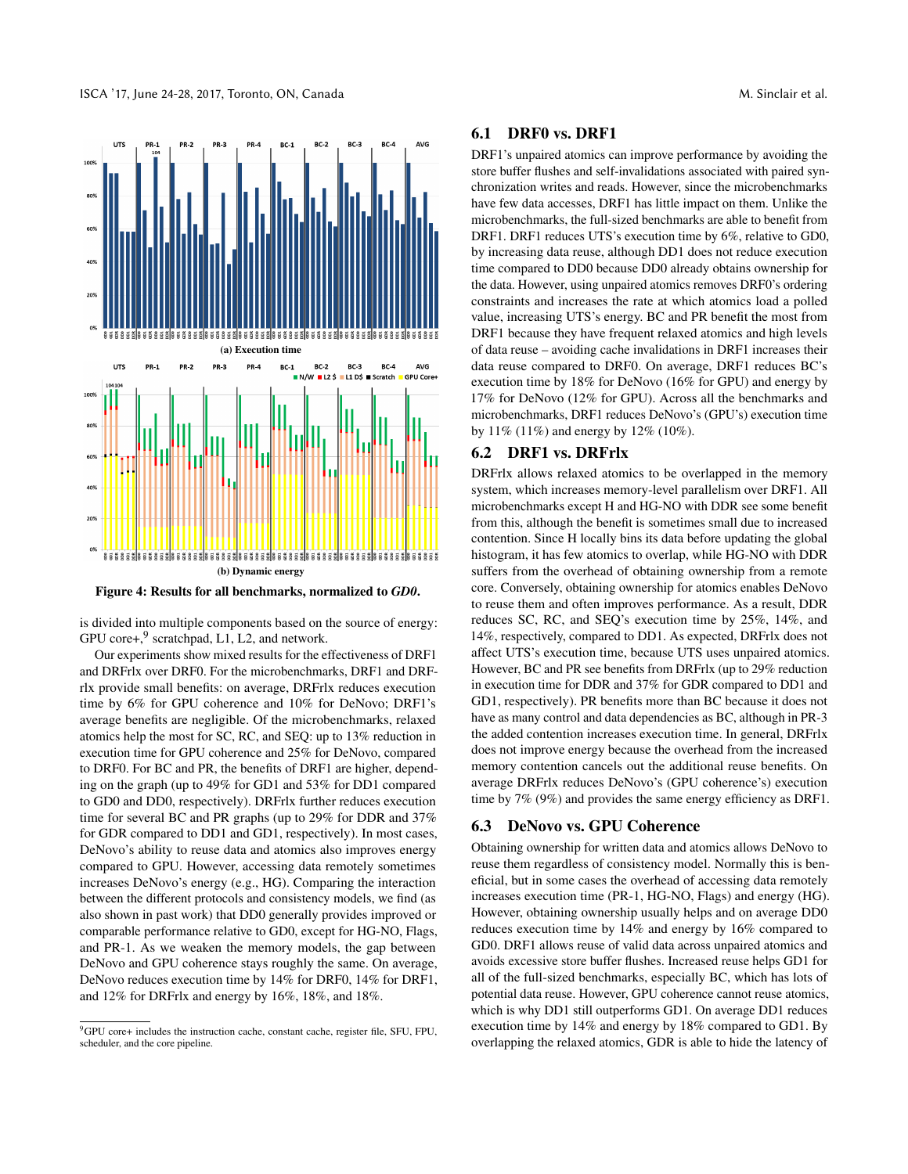<span id="page-11-0"></span>

Figure 4: Results for all benchmarks, normalized to *GD0*.

is divided into multiple components based on the source of energy: GPU core+, $9$  scratchpad, L1, L2, and network.

Our experiments show mixed results for the effectiveness of DRF1 and DRFrlx over DRF0. For the microbenchmarks, DRF1 and DRFrlx provide small benefits: on average, DRFrlx reduces execution time by 6% for GPU coherence and 10% for DeNovo; DRF1's average benefits are negligible. Of the microbenchmarks, relaxed atomics help the most for SC, RC, and SEQ: up to 13% reduction in execution time for GPU coherence and 25% for DeNovo, compared to DRF0. For BC and PR, the benefits of DRF1 are higher, depending on the graph (up to 49% for GD1 and 53% for DD1 compared to GD0 and DD0, respectively). DRFrlx further reduces execution time for several BC and PR graphs (up to 29% for DDR and 37% for GDR compared to DD1 and GD1, respectively). In most cases, DeNovo's ability to reuse data and atomics also improves energy compared to GPU. However, accessing data remotely sometimes increases DeNovo's energy (e.g., HG). Comparing the interaction between the different protocols and consistency models, we find (as also shown in past work) that DD0 generally provides improved or comparable performance relative to GD0, except for HG-NO, Flags, and PR-1. As we weaken the memory models, the gap between DeNovo and GPU coherence stays roughly the same. On average, DeNovo reduces execution time by 14% for DRF0, 14% for DRF1, and 12% for DRFrlx and energy by 16%, 18%, and 18%.

# 6.1 DRF0 vs. DRF1

DRF1's unpaired atomics can improve performance by avoiding the store buffer flushes and self-invalidations associated with paired synchronization writes and reads. However, since the microbenchmarks have few data accesses, DRF1 has little impact on them. Unlike the microbenchmarks, the full-sized benchmarks are able to benefit from DRF1. DRF1 reduces UTS's execution time by 6%, relative to GD0, by increasing data reuse, although DD1 does not reduce execution time compared to DD0 because DD0 already obtains ownership for the data. However, using unpaired atomics removes DRF0's ordering constraints and increases the rate at which atomics load a polled value, increasing UTS's energy. BC and PR benefit the most from DRF1 because they have frequent relaxed atomics and high levels of data reuse – avoiding cache invalidations in DRF1 increases their data reuse compared to DRF0. On average, DRF1 reduces BC's execution time by 18% for DeNovo (16% for GPU) and energy by 17% for DeNovo (12% for GPU). Across all the benchmarks and microbenchmarks, DRF1 reduces DeNovo's (GPU's) execution time by 11% (11%) and energy by 12% (10%).

# 6.2 DRF1 vs. DRFrlx

DRFrlx allows relaxed atomics to be overlapped in the memory system, which increases memory-level parallelism over DRF1. All microbenchmarks except H and HG-NO with DDR see some benefit from this, although the benefit is sometimes small due to increased contention. Since H locally bins its data before updating the global histogram, it has few atomics to overlap, while HG-NO with DDR suffers from the overhead of obtaining ownership from a remote core. Conversely, obtaining ownership for atomics enables DeNovo to reuse them and often improves performance. As a result, DDR reduces SC, RC, and SEQ's execution time by 25%, 14%, and 14%, respectively, compared to DD1. As expected, DRFrlx does not affect UTS's execution time, because UTS uses unpaired atomics. However, BC and PR see benefits from DRFrlx (up to 29% reduction in execution time for DDR and 37% for GDR compared to DD1 and GD1, respectively). PR benefits more than BC because it does not have as many control and data dependencies as BC, although in PR-3 the added contention increases execution time. In general, DRFrlx does not improve energy because the overhead from the increased memory contention cancels out the additional reuse benefits. On average DRFrlx reduces DeNovo's (GPU coherence's) execution time by 7% (9%) and provides the same energy efficiency as DRF1.

# 6.3 DeNovo vs. GPU Coherence

Obtaining ownership for written data and atomics allows DeNovo to reuse them regardless of consistency model. Normally this is beneficial, but in some cases the overhead of accessing data remotely increases execution time (PR-1, HG-NO, Flags) and energy (HG). However, obtaining ownership usually helps and on average DD0 reduces execution time by 14% and energy by 16% compared to GD0. DRF1 allows reuse of valid data across unpaired atomics and avoids excessive store buffer flushes. Increased reuse helps GD1 for all of the full-sized benchmarks, especially BC, which has lots of potential data reuse. However, GPU coherence cannot reuse atomics, which is why DD1 still outperforms GD1. On average DD1 reduces execution time by 14% and energy by 18% compared to GD1. By overlapping the relaxed atomics, GDR is able to hide the latency of

<span id="page-11-1"></span><sup>9</sup>GPU core+ includes the instruction cache, constant cache, register file, SFU, FPU, scheduler, and the core pipeline.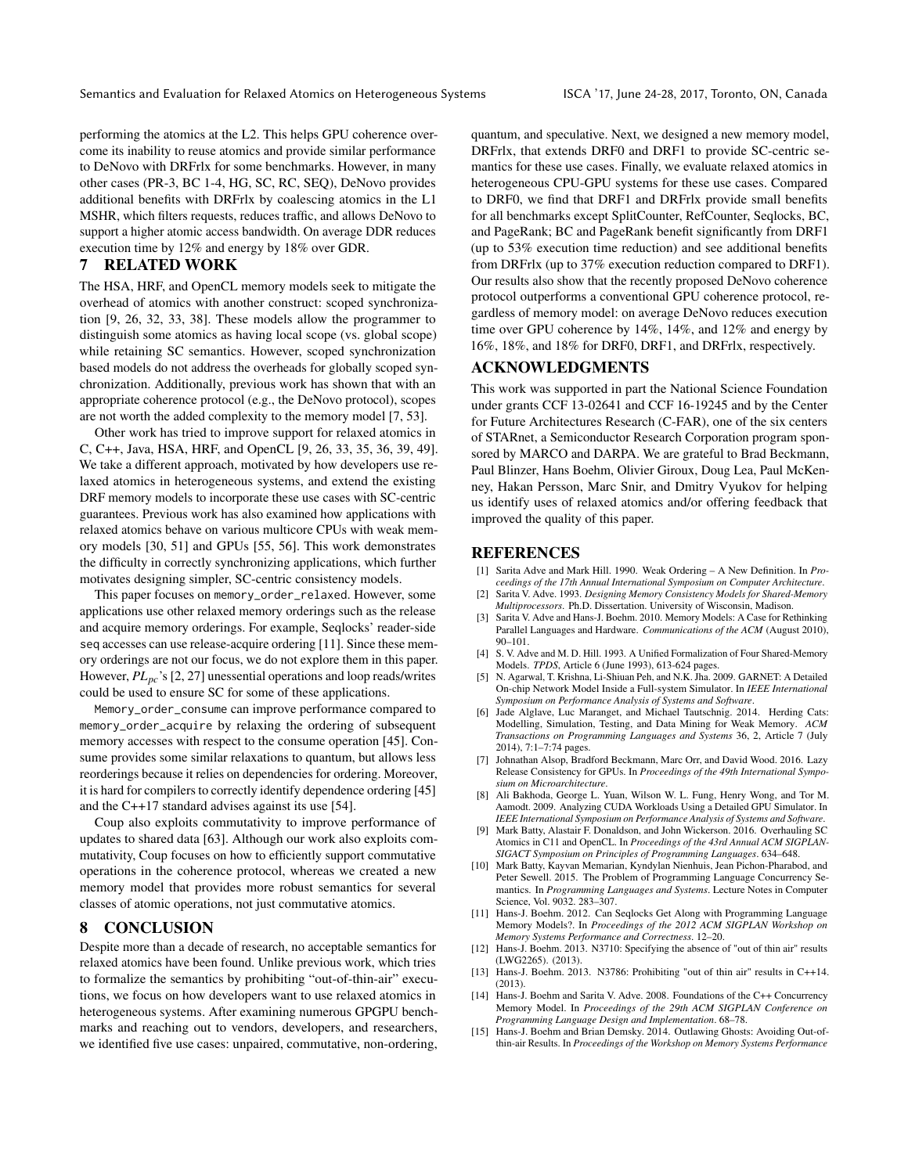performing the atomics at the L2. This helps GPU coherence overcome its inability to reuse atomics and provide similar performance to DeNovo with DRFrlx for some benchmarks. However, in many other cases (PR-3, BC 1-4, HG, SC, RC, SEQ), DeNovo provides additional benefits with DRFrlx by coalescing atomics in the L1 MSHR, which filters requests, reduces traffic, and allows DeNovo to support a higher atomic access bandwidth. On average DDR reduces execution time by 12% and energy by 18% over GDR.

# <span id="page-12-8"></span>7 RELATED WORK

The HSA, HRF, and OpenCL memory models seek to mitigate the overhead of atomics with another construct: scoped synchronization [\[9,](#page-12-0) [26,](#page-13-3) [32,](#page-13-4) [33,](#page-13-1) [38\]](#page-13-5). These models allow the programmer to distinguish some atomics as having local scope (vs. global scope) while retaining SC semantics. However, scoped synchronization based models do not address the overheads for globally scoped synchronization. Additionally, previous work has shown that with an appropriate coherence protocol (e.g., the DeNovo protocol), scopes are not worth the added complexity to the memory model [\[7,](#page-12-12) [53\]](#page-13-22).

Other work has tried to improve support for relaxed atomics in C, C++, Java, HSA, HRF, and OpenCL [\[9,](#page-12-0) [26,](#page-13-3) [33,](#page-13-1) [35,](#page-13-39) [36,](#page-13-15) [39,](#page-13-40) [49\]](#page-13-16). We take a different approach, motivated by how developers use relaxed atomics in heterogeneous systems, and extend the existing DRF memory models to incorporate these use cases with SC-centric guarantees. Previous work has also examined how applications with relaxed atomics behave on various multicore CPUs with weak memory models [\[30,](#page-13-41) [51\]](#page-13-42) and GPUs [\[55,](#page-13-43) [56\]](#page-13-44). This work demonstrates the difficulty in correctly synchronizing applications, which further motivates designing simpler, SC-centric consistency models.

This paper focuses on memory\_order\_relaxed. However, some applications use other relaxed memory orderings such as the release and acquire memory orderings. For example, Seqlocks' reader-side seq accesses can use release-acquire ordering [\[11\]](#page-12-11). Since these memory orderings are not our focus, we do not explore them in this paper. However, *PLpc*'s [\[2,](#page-12-9) [27\]](#page-13-45) unessential operations and loop reads/writes could be used to ensure SC for some of these applications.

Memory\_order\_consume can improve performance compared to memory\_order\_acquire by relaxing the ordering of subsequent memory accesses with respect to the consume operation [\[45\]](#page-13-46). Consume provides some similar relaxations to quantum, but allows less reorderings because it relies on dependencies for ordering. Moreover, it is hard for compilers to correctly identify dependence ordering [\[45\]](#page-13-46) and the C++17 standard advises against its use [\[54\]](#page-13-23).

Coup also exploits commutativity to improve performance of updates to shared data [\[63\]](#page-13-47). Although our work also exploits commutativity, Coup focuses on how to efficiently support commutative operations in the coherence protocol, whereas we created a new memory model that provides more robust semantics for several classes of atomic operations, not just commutative atomics.

# 8 CONCLUSION

Despite more than a decade of research, no acceptable semantics for relaxed atomics have been found. Unlike previous work, which tries to formalize the semantics by prohibiting "out-of-thin-air" executions, we focus on how developers want to use relaxed atomics in heterogeneous systems. After examining numerous GPGPU benchmarks and reaching out to vendors, developers, and researchers, we identified five use cases: unpaired, commutative, non-ordering,

quantum, and speculative. Next, we designed a new memory model, DRFrlx, that extends DRF0 and DRF1 to provide SC-centric semantics for these use cases. Finally, we evaluate relaxed atomics in heterogeneous CPU-GPU systems for these use cases. Compared to DRF0, we find that DRF1 and DRFrlx provide small benefits for all benchmarks except SplitCounter, RefCounter, Seqlocks, BC, and PageRank; BC and PageRank benefit significantly from DRF1 (up to 53% execution time reduction) and see additional benefits from DRFrlx (up to 37% execution reduction compared to DRF1). Our results also show that the recently proposed DeNovo coherence protocol outperforms a conventional GPU coherence protocol, regardless of memory model: on average DeNovo reduces execution time over GPU coherence by 14%, 14%, and 12% and energy by 16%, 18%, and 18% for DRF0, DRF1, and DRFrlx, respectively.

# ACKNOWLEDGMENTS

This work was supported in part the National Science Foundation under grants CCF 13-02641 and CCF 16-19245 and by the Center for Future Architectures Research (C-FAR), one of the six centers of STARnet, a Semiconductor Research Corporation program sponsored by MARCO and DARPA. We are grateful to Brad Beckmann, Paul Blinzer, Hans Boehm, Olivier Giroux, Doug Lea, Paul McKenney, Hakan Persson, Marc Snir, and Dmitry Vyukov for helping us identify uses of relaxed atomics and/or offering feedback that improved the quality of this paper.

# **REFERENCES**

- <span id="page-12-1"></span>[1] Sarita Adve and Mark Hill. 1990. Weak Ordering – A New Definition. In *Proceedings of the 17th Annual International Symposium on Computer Architecture*.
- <span id="page-12-9"></span>[2] Sarita V. Adve. 1993. *Designing Memory Consistency Models for Shared-Memory Multiprocessors*. Ph.D. Dissertation. University of Wisconsin, Madison.
- <span id="page-12-3"></span>Sarita V. Adve and Hans-J. Boehm. 2010. Memory Models: A Case for Rethinking Parallel Languages and Hardware. *Communications of the ACM* (August 2010), 90–101.
- <span id="page-12-10"></span>[4] S. V. Adve and M. D. Hill. 1993. A Unified Formalization of Four Shared-Memory Models. *TPDS*, Article 6 (June 1993), 613-624 pages.
- <span id="page-12-15"></span>[5] N. Agarwal, T. Krishna, Li-Shiuan Peh, and N.K. Jha. 2009. GARNET: A Detailed On-chip Network Model Inside a Full-system Simulator. In *IEEE International Symposium on Performance Analysis of Systems and Software*.
- <span id="page-12-13"></span>[6] Jade Alglave, Luc Maranget, and Michael Tautschnig. 2014. Herding Cats: Modelling, Simulation, Testing, and Data Mining for Weak Memory. *ACM Transactions on Programming Languages and Systems* 36, 2, Article 7 (July 2014), 7:1–7:74 pages.
- <span id="page-12-12"></span>[7] Johnathan Alsop, Bradford Beckmann, Marc Orr, and David Wood. 2016. Lazy Release Consistency for GPUs. In *Proceedings of the 49th International Symposium on Microarchitecture*.
- <span id="page-12-14"></span>[8] Ali Bakhoda, George L. Yuan, Wilson W. L. Fung, Henry Wong, and Tor M. Aamodt. 2009. Analyzing CUDA Workloads Using a Detailed GPU Simulator. In *IEEE International Symposium on Performance Analysis of Systems and Software*.
- <span id="page-12-0"></span>[9] Mark Batty, Alastair F. Donaldson, and John Wickerson. 2016. Overhauling SC Atomics in C11 and OpenCL. In *Proceedings of the 43rd Annual ACM SIGPLAN-SIGACT Symposium on Principles of Programming Languages*. 634–648.
- <span id="page-12-4"></span>[10] Mark Batty, Kayvan Memarian, Kyndylan Nienhuis, Jean Pichon-Pharabod, and Peter Sewell. 2015. The Problem of Programming Language Concurrency Semantics. In *Programming Languages and Systems*. Lecture Notes in Computer Science, Vol. 9032. 283–307.
- <span id="page-12-11"></span>[11] Hans-J. Boehm. 2012. Can Seqlocks Get Along with Programming Language Memory Models?. In *Proceedings of the 2012 ACM SIGPLAN Workshop on Memory Systems Performance and Correctness*. 12–20.
- <span id="page-12-6"></span>[12] Hans-J. Boehm. 2013. N3710: Specifying the absence of "out of thin air" results (LWG2265). (2013).
- <span id="page-12-7"></span>[13] Hans-J. Boehm. 2013. N3786: Prohibiting "out of thin air" results in C++14.  $(2013)$
- <span id="page-12-2"></span>[14] Hans-J. Boehm and Sarita V. Adve. 2008. Foundations of the C++ Concurrency Memory Model. In *Proceedings of the 29th ACM SIGPLAN Conference on Programming Language Design and Implementation*. 68–78.
- <span id="page-12-5"></span>[15] Hans-J. Boehm and Brian Demsky. 2014. Outlawing Ghosts: Avoiding Out-ofthin-air Results. In *Proceedings of the Workshop on Memory Systems Performance*